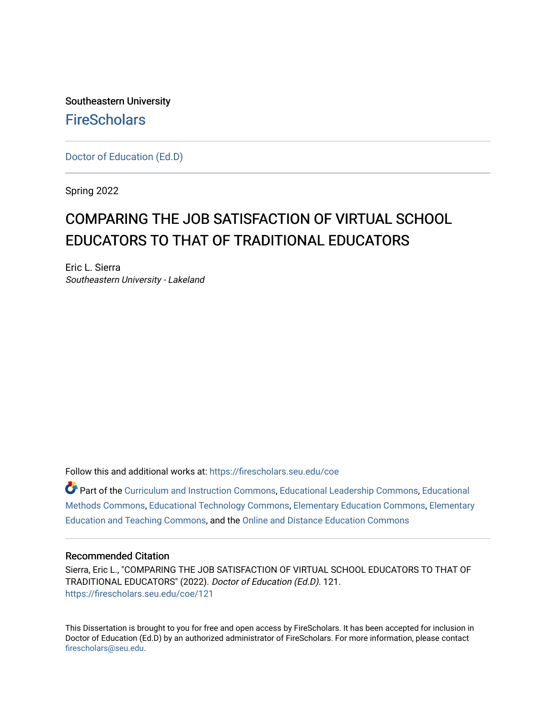Southeastern University **FireScholars** 

[Doctor of Education \(Ed.D\)](https://firescholars.seu.edu/coe) 

Spring 2022

# COMPARING THE JOB SATISFACTION OF VIRTUAL SCHOOL EDUCATORS TO THAT OF TRADITIONAL EDUCATORS

Eric L. Sierra Southeastern University - Lakeland

Follow this and additional works at: [https://firescholars.seu.edu/coe](https://firescholars.seu.edu/coe?utm_source=firescholars.seu.edu%2Fcoe%2F121&utm_medium=PDF&utm_campaign=PDFCoverPages)

Part of the [Curriculum and Instruction Commons,](http://network.bepress.com/hgg/discipline/786?utm_source=firescholars.seu.edu%2Fcoe%2F121&utm_medium=PDF&utm_campaign=PDFCoverPages) [Educational Leadership Commons,](http://network.bepress.com/hgg/discipline/1230?utm_source=firescholars.seu.edu%2Fcoe%2F121&utm_medium=PDF&utm_campaign=PDFCoverPages) [Educational](http://network.bepress.com/hgg/discipline/1227?utm_source=firescholars.seu.edu%2Fcoe%2F121&utm_medium=PDF&utm_campaign=PDFCoverPages) [Methods Commons,](http://network.bepress.com/hgg/discipline/1227?utm_source=firescholars.seu.edu%2Fcoe%2F121&utm_medium=PDF&utm_campaign=PDFCoverPages) [Educational Technology Commons,](http://network.bepress.com/hgg/discipline/1415?utm_source=firescholars.seu.edu%2Fcoe%2F121&utm_medium=PDF&utm_campaign=PDFCoverPages) [Elementary Education Commons,](http://network.bepress.com/hgg/discipline/1378?utm_source=firescholars.seu.edu%2Fcoe%2F121&utm_medium=PDF&utm_campaign=PDFCoverPages) [Elementary](http://network.bepress.com/hgg/discipline/805?utm_source=firescholars.seu.edu%2Fcoe%2F121&utm_medium=PDF&utm_campaign=PDFCoverPages)  [Education and Teaching Commons,](http://network.bepress.com/hgg/discipline/805?utm_source=firescholars.seu.edu%2Fcoe%2F121&utm_medium=PDF&utm_campaign=PDFCoverPages) and the [Online and Distance Education Commons](http://network.bepress.com/hgg/discipline/1296?utm_source=firescholars.seu.edu%2Fcoe%2F121&utm_medium=PDF&utm_campaign=PDFCoverPages) 

# Recommended Citation

Sierra, Eric L., "COMPARING THE JOB SATISFACTION OF VIRTUAL SCHOOL EDUCATORS TO THAT OF TRADITIONAL EDUCATORS" (2022). Doctor of Education (Ed.D). 121. [https://firescholars.seu.edu/coe/121](https://firescholars.seu.edu/coe/121?utm_source=firescholars.seu.edu%2Fcoe%2F121&utm_medium=PDF&utm_campaign=PDFCoverPages) 

This Dissertation is brought to you for free and open access by FireScholars. It has been accepted for inclusion in Doctor of Education (Ed.D) by an authorized administrator of FireScholars. For more information, please contact [firescholars@seu.edu.](mailto:firescholars@seu.edu)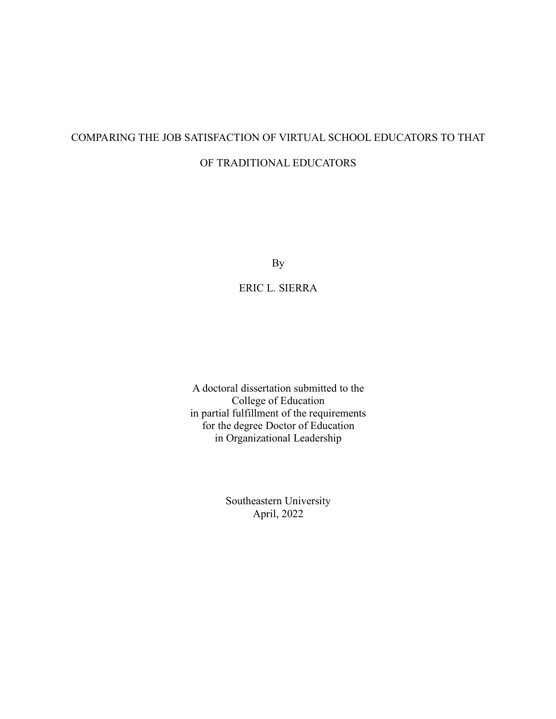# COMPARING THE JOB SATISFACTION OF VIRTUAL SCHOOL EDUCATORS TO THAT OF TRADITIONAL EDUCATORS

By

ERIC L. SIERRA

A doctoral dissertation submitted to the College of Education in partial fulfillment of the requirements for the degree Doctor of Education in Organizational Leadership

> Southeastern University April, 2022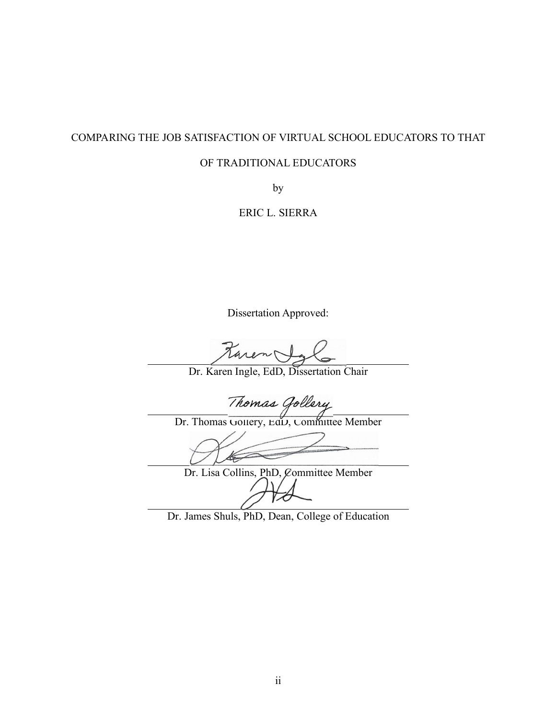# COMPARING THE JOB SATISFACTION OF VIRTUAL SCHOOL EDUCATORS TO THAT

# OF TRADITIONAL EDUCATORS

by

ERIC L. SIERRA

Dissertation Approved:

taren Ig

Dr. Karen Ingle, EdD, Dissertation Chair

Thomas Gollery<br>Dr. Thomas Gollery, EdD, Committee Member

 $\not\in$ 

Dr. Lisa Collins, PhD, Committee Member

Dr. James Shuls, PhD, Dean, College of Education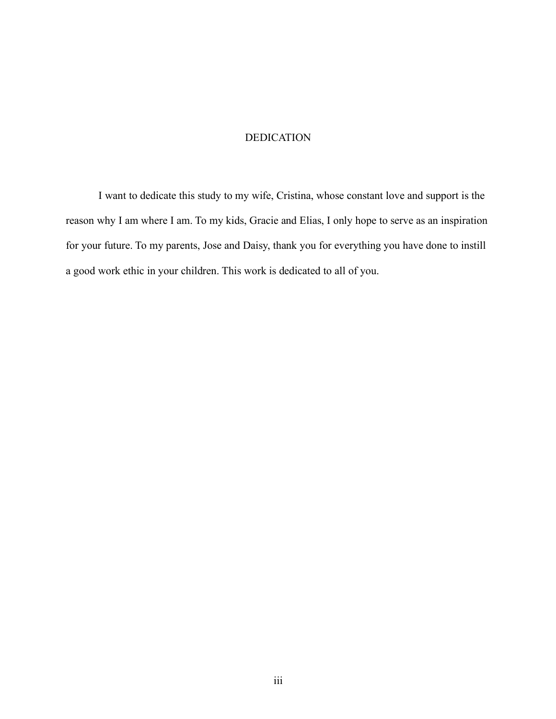# DEDICATION

I want to dedicate this study to my wife, Cristina, whose constant love and support is the reason why I am where I am. To my kids, Gracie and Elias, I only hope to serve as an inspiration for your future. To my parents, Jose and Daisy, thank you for everything you have done to instill a good work ethic in your children. This work is dedicated to all of you.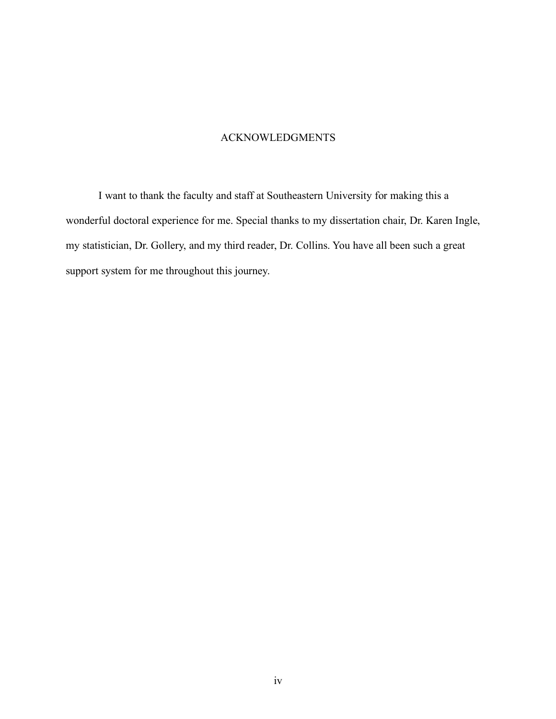# ACKNOWLEDGMENTS

I want to thank the faculty and staff at Southeastern University for making this a wonderful doctoral experience for me. Special thanks to my dissertation chair, Dr. Karen Ingle, my statistician, Dr. Gollery, and my third reader, Dr. Collins. You have all been such a great support system for me throughout this journey.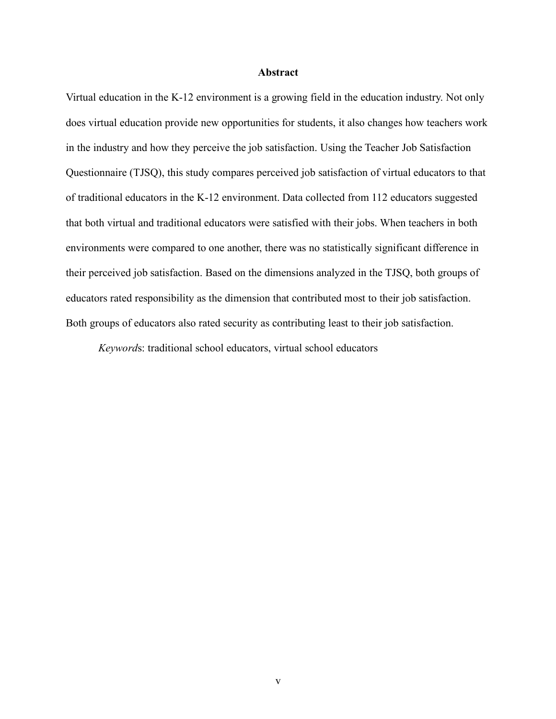#### **Abstract**

Virtual education in the K-12 environment is a growing field in the education industry. Not only does virtual education provide new opportunities for students, it also changes how teachers work in the industry and how they perceive the job satisfaction. Using the Teacher Job Satisfaction Questionnaire (TJSQ), this study compares perceived job satisfaction of virtual educators to that of traditional educators in the K-12 environment. Data collected from 112 educators suggested that both virtual and traditional educators were satisfied with their jobs. When teachers in both environments were compared to one another, there was no statistically significant difference in their perceived job satisfaction. Based on the dimensions analyzed in the TJSQ, both groups of educators rated responsibility as the dimension that contributed most to their job satisfaction. Both groups of educators also rated security as contributing least to their job satisfaction.

*Keyword*s: traditional school educators, virtual school educators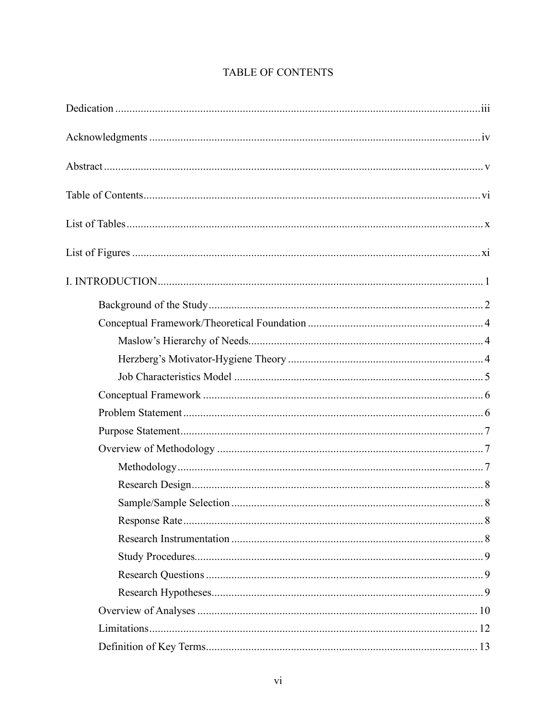# TABLE OF CONTENTS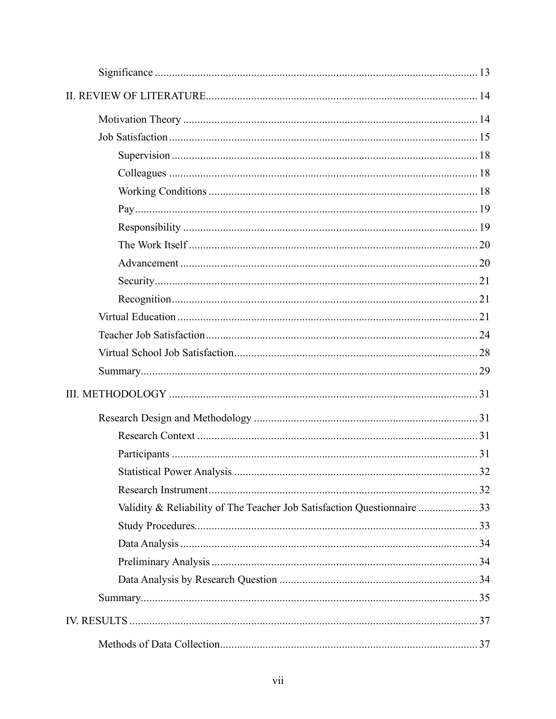| Validity & Reliability of The Teacher Job Satisfaction Questionnaire  33 |  |
|--------------------------------------------------------------------------|--|
|                                                                          |  |
|                                                                          |  |
|                                                                          |  |
|                                                                          |  |
|                                                                          |  |
|                                                                          |  |
|                                                                          |  |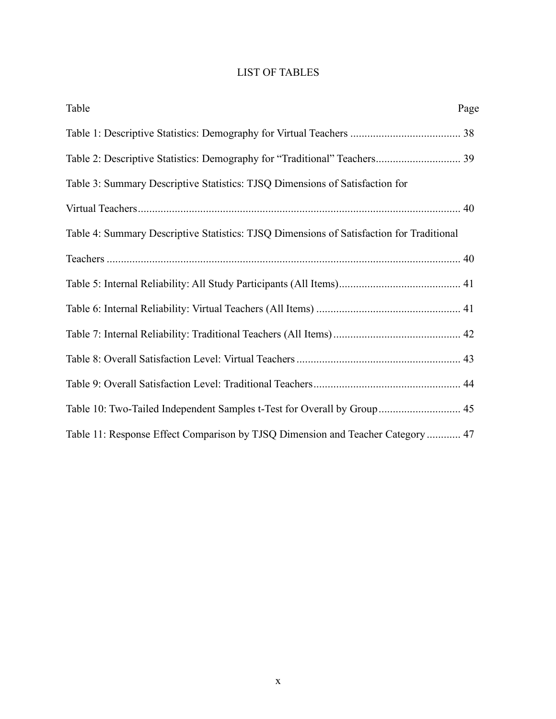# LIST OF TABLES

| Table                                                                                    | Page |
|------------------------------------------------------------------------------------------|------|
|                                                                                          |      |
|                                                                                          |      |
| Table 3: Summary Descriptive Statistics: TJSQ Dimensions of Satisfaction for             |      |
|                                                                                          |      |
| Table 4: Summary Descriptive Statistics: TJSQ Dimensions of Satisfaction for Traditional |      |
|                                                                                          |      |
|                                                                                          |      |
|                                                                                          |      |
|                                                                                          |      |
|                                                                                          |      |
|                                                                                          |      |
| Table 10: Two-Tailed Independent Samples t-Test for Overall by Group 45                  |      |
| Table 11: Response Effect Comparison by TJSQ Dimension and Teacher Category  47          |      |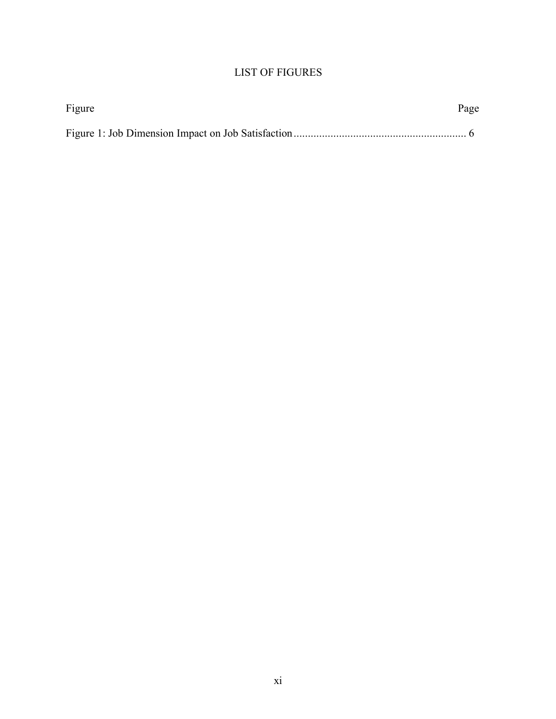# LIST OF FIGURES

| Figure | Page |
|--------|------|
|        |      |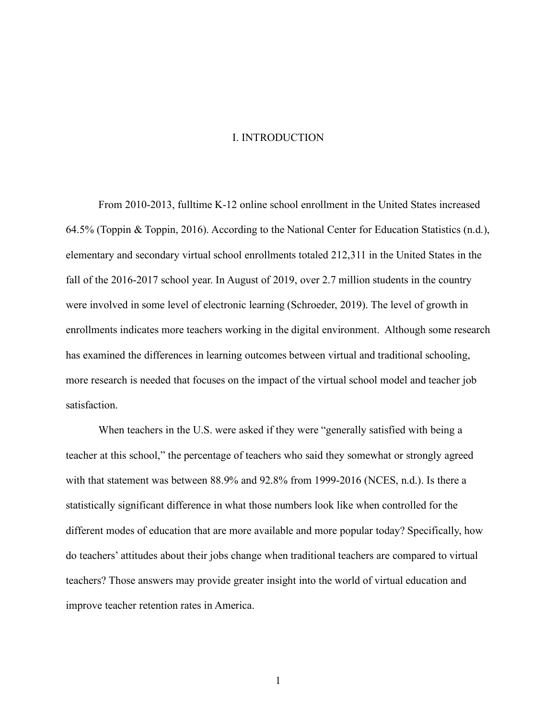#### I. INTRODUCTION

From 2010-2013, fulltime K-12 online school enrollment in the United States increased 64.5% (Toppin & Toppin, 2016). According to the National Center for Education Statistics (n.d.), elementary and secondary virtual school enrollments totaled 212,311 in the United States in the fall of the 2016-2017 school year. In August of 2019, over 2.7 million students in the country were involved in some level of electronic learning (Schroeder, 2019). The level of growth in enrollments indicates more teachers working in the digital environment. Although some research has examined the differences in learning outcomes between virtual and traditional schooling, more research is needed that focuses on the impact of the virtual school model and teacher job satisfaction.

When teachers in the U.S. were asked if they were "generally satisfied with being a teacher at this school," the percentage of teachers who said they somewhat or strongly agreed with that statement was between 88.9% and 92.8% from 1999-2016 (NCES, n.d.). Is there a statistically significant difference in what those numbers look like when controlled for the different modes of education that are more available and more popular today? Specifically, how do teachers' attitudes about their jobs change when traditional teachers are compared to virtual teachers? Those answers may provide greater insight into the world of virtual education and improve teacher retention rates in America.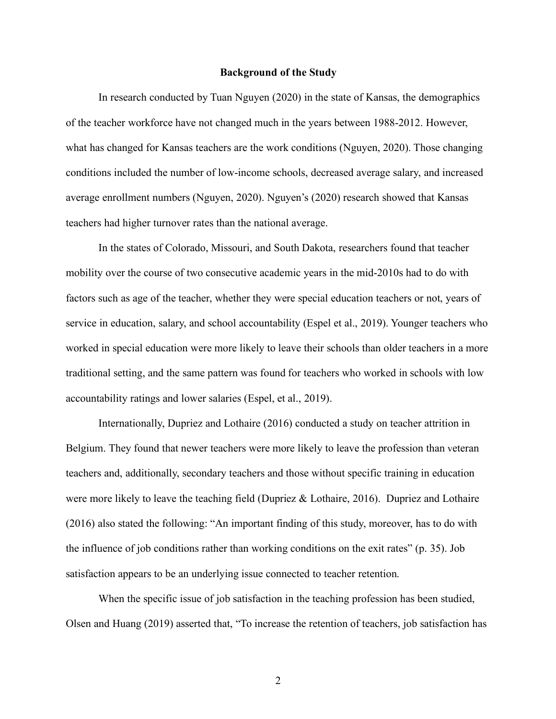#### **Background of the Study**

In research conducted by Tuan Nguyen (2020) in the state of Kansas, the demographics of the teacher workforce have not changed much in the years between 1988-2012. However, what has changed for Kansas teachers are the work conditions (Nguyen, 2020). Those changing conditions included the number of low-income schools, decreased average salary, and increased average enrollment numbers (Nguyen, 2020). Nguyen's (2020) research showed that Kansas teachers had higher turnover rates than the national average.

In the states of Colorado, Missouri, and South Dakota, researchers found that teacher mobility over the course of two consecutive academic years in the mid-2010s had to do with factors such as age of the teacher, whether they were special education teachers or not, years of service in education, salary, and school accountability (Espel et al., 2019). Younger teachers who worked in special education were more likely to leave their schools than older teachers in a more traditional setting, and the same pattern was found for teachers who worked in schools with low accountability ratings and lower salaries (Espel, et al., 2019).

Internationally, Dupriez and Lothaire (2016) conducted a study on teacher attrition in Belgium. They found that newer teachers were more likely to leave the profession than veteran teachers and, additionally, secondary teachers and those without specific training in education were more likely to leave the teaching field (Dupriez & Lothaire, 2016). Dupriez and Lothaire (2016) also stated the following: "An important finding of this study, moreover, has to do with the influence of job conditions rather than working conditions on the exit rates" (p. 35). Job satisfaction appears to be an underlying issue connected to teacher retention.

When the specific issue of job satisfaction in the teaching profession has been studied, Olsen and Huang (2019) asserted that, "To increase the retention of teachers, job satisfaction has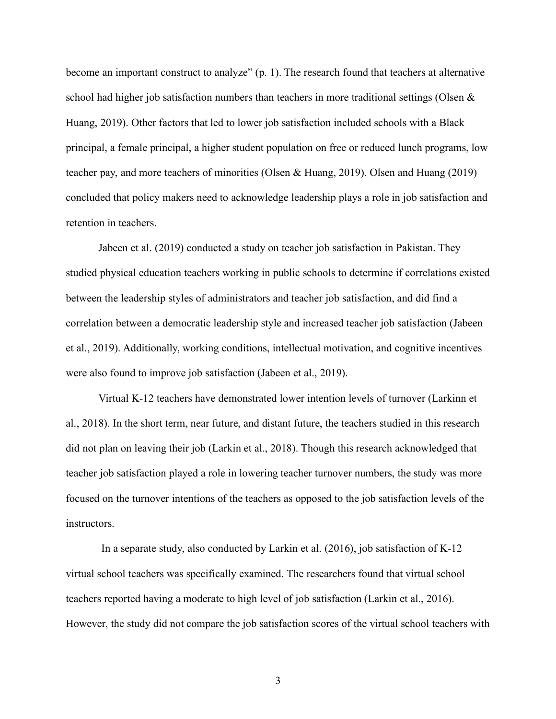become an important construct to analyze" (p. 1). The research found that teachers at alternative school had higher job satisfaction numbers than teachers in more traditional settings (Olsen & Huang, 2019). Other factors that led to lower job satisfaction included schools with a Black principal, a female principal, a higher student population on free or reduced lunch programs, low teacher pay, and more teachers of minorities (Olsen & Huang, 2019). Olsen and Huang (2019) concluded that policy makers need to acknowledge leadership plays a role in job satisfaction and retention in teachers.

Jabeen et al. (2019) conducted a study on teacher job satisfaction in Pakistan. They studied physical education teachers working in public schools to determine if correlations existed between the leadership styles of administrators and teacher job satisfaction, and did find a correlation between a democratic leadership style and increased teacher job satisfaction (Jabeen et al., 2019). Additionally, working conditions, intellectual motivation, and cognitive incentives were also found to improve job satisfaction (Jabeen et al., 2019).

Virtual K-12 teachers have demonstrated lower intention levels of turnover (Larkinn et al., 2018). In the short term, near future, and distant future, the teachers studied in this research did not plan on leaving their job (Larkin et al., 2018). Though this research acknowledged that teacher job satisfaction played a role in lowering teacher turnover numbers, the study was more focused on the turnover intentions of the teachers as opposed to the job satisfaction levels of the instructors.

In a separate study, also conducted by Larkin et al. (2016), job satisfaction of K-12 virtual school teachers was specifically examined. The researchers found that virtual school teachers reported having a moderate to high level of job satisfaction (Larkin et al., 2016). However, the study did not compare the job satisfaction scores of the virtual school teachers with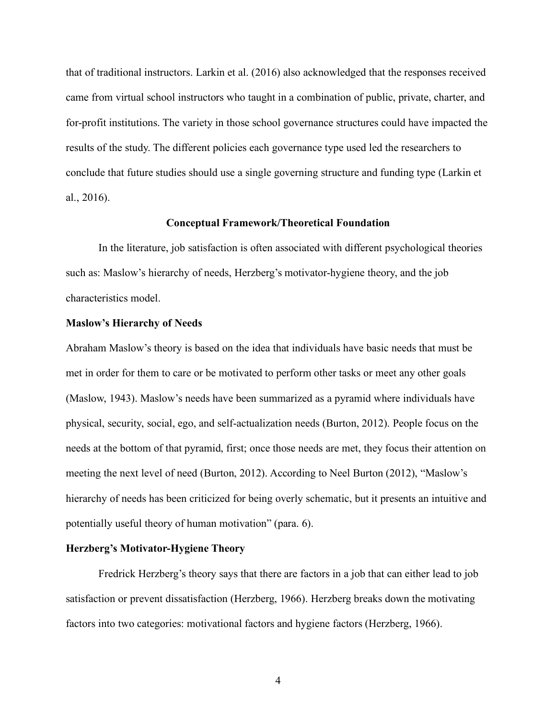that of traditional instructors. Larkin et al. (2016) also acknowledged that the responses received came from virtual school instructors who taught in a combination of public, private, charter, and for-profit institutions. The variety in those school governance structures could have impacted the results of the study. The different policies each governance type used led the researchers to conclude that future studies should use a single governing structure and funding type (Larkin et al., 2016).

#### **Conceptual Framework/Theoretical Foundation**

In the literature, job satisfaction is often associated with different psychological theories such as: Maslow's hierarchy of needs, Herzberg's motivator-hygiene theory, and the job characteristics model.

#### **Maslow's Hierarchy of Needs**

Abraham Maslow's theory is based on the idea that individuals have basic needs that must be met in order for them to care or be motivated to perform other tasks or meet any other goals (Maslow, 1943). Maslow's needs have been summarized as a pyramid where individuals have physical, security, social, ego, and self-actualization needs (Burton, 2012). People focus on the needs at the bottom of that pyramid, first; once those needs are met, they focus their attention on meeting the next level of need (Burton, 2012). According to Neel Burton (2012), "Maslow's hierarchy of needs has been criticized for being overly schematic, but it presents an intuitive and potentially useful theory of human motivation" (para. 6).

#### **Herzberg's Motivator-Hygiene Theory**

Fredrick Herzberg's theory says that there are factors in a job that can either lead to job satisfaction or prevent dissatisfaction (Herzberg, 1966). Herzberg breaks down the motivating factors into two categories: motivational factors and hygiene factors (Herzberg, 1966).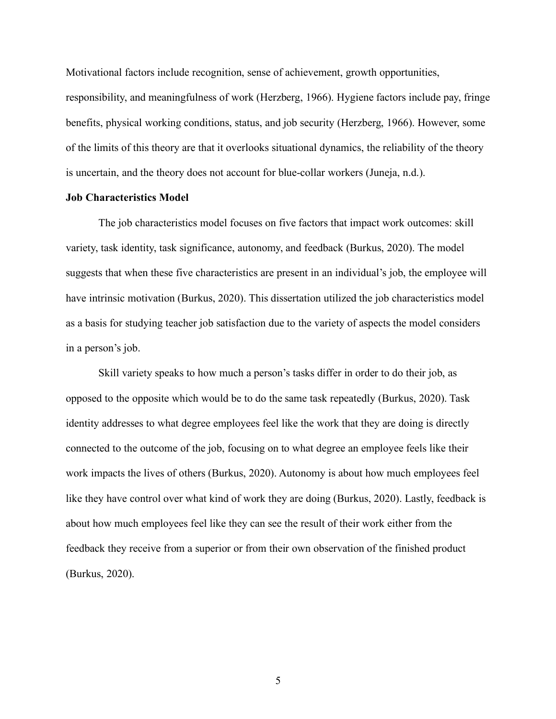Motivational factors include recognition, sense of achievement, growth opportunities, responsibility, and meaningfulness of work (Herzberg, 1966). Hygiene factors include pay, fringe

benefits, physical working conditions, status, and job security (Herzberg, 1966). However, some of the limits of this theory are that it overlooks situational dynamics, the reliability of the theory is uncertain, and the theory does not account for blue-collar workers (Juneja, n.d.).

#### **Job Characteristics Model**

The job characteristics model focuses on five factors that impact work outcomes: skill variety, task identity, task significance, autonomy, and feedback (Burkus, 2020). The model suggests that when these five characteristics are present in an individual's job, the employee will have intrinsic motivation (Burkus, 2020). This dissertation utilized the job characteristics model as a basis for studying teacher job satisfaction due to the variety of aspects the model considers in a person's job.

Skill variety speaks to how much a person's tasks differ in order to do their job, as opposed to the opposite which would be to do the same task repeatedly (Burkus, 2020). Task identity addresses to what degree employees feel like the work that they are doing is directly connected to the outcome of the job, focusing on to what degree an employee feels like their work impacts the lives of others (Burkus, 2020). Autonomy is about how much employees feel like they have control over what kind of work they are doing (Burkus, 2020). Lastly, feedback is about how much employees feel like they can see the result of their work either from the feedback they receive from a superior or from their own observation of the finished product (Burkus, 2020).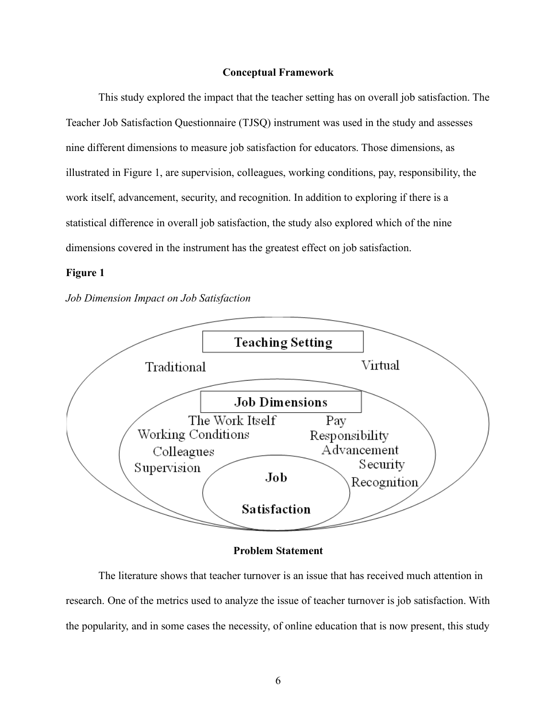# **Conceptual Framework**

This study explored the impact that the teacher setting has on overall job satisfaction. The Teacher Job Satisfaction Questionnaire (TJSQ) instrument was used in the study and assesses nine different dimensions to measure job satisfaction for educators. Those dimensions, as illustrated in Figure 1, are supervision, colleagues, working conditions, pay, responsibility, the work itself, advancement, security, and recognition. In addition to exploring if there is a statistical difference in overall job satisfaction, the study also explored which of the nine dimensions covered in the instrument has the greatest effect on job satisfaction.

#### **Figure 1**

#### *Job Dimension Impact on Job Satisfaction*



#### **Problem Statement**

The literature shows that teacher turnover is an issue that has received much attention in research. One of the metrics used to analyze the issue of teacher turnover is job satisfaction. With the popularity, and in some cases the necessity, of online education that is now present, this study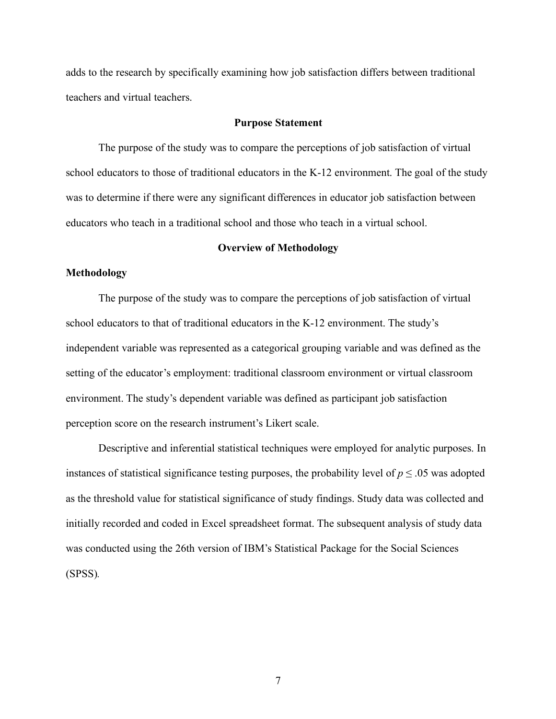adds to the research by specifically examining how job satisfaction differs between traditional teachers and virtual teachers.

#### **Purpose Statement**

The purpose of the study was to compare the perceptions of job satisfaction of virtual school educators to those of traditional educators in the K-12 environment. The goal of the study was to determine if there were any significant differences in educator job satisfaction between educators who teach in a traditional school and those who teach in a virtual school.

#### **Overview of Methodology**

# **Methodology**

The purpose of the study was to compare the perceptions of job satisfaction of virtual school educators to that of traditional educators in the K-12 environment. The study's independent variable was represented as a categorical grouping variable and was defined as the setting of the educator's employment: traditional classroom environment or virtual classroom environment. The study's dependent variable was defined as participant job satisfaction perception score on the research instrument's Likert scale.

Descriptive and inferential statistical techniques were employed for analytic purposes. In instances of statistical significance testing purposes, the probability level of  $p \leq 0.05$  was adopted as the threshold value for statistical significance of study findings. Study data was collected and initially recorded and coded in Excel spreadsheet format. The subsequent analysis of study data was conducted using the 26th version of IBM's Statistical Package for the Social Sciences (SPSS)*.*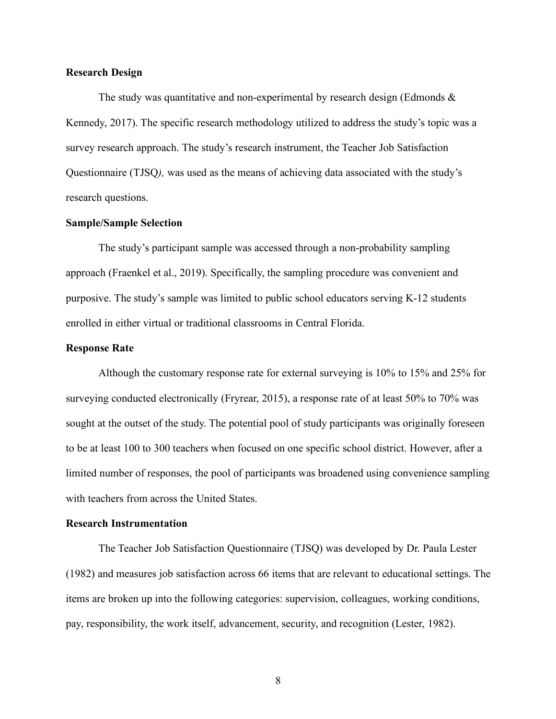### **Research Design**

The study was quantitative and non-experimental by research design (Edmonds  $\&$ Kennedy, 2017). The specific research methodology utilized to address the study's topic was a survey research approach. The study's research instrument, the Teacher Job Satisfaction Questionnaire (TJSQ*),* was used as the means of achieving data associated with the study's research questions.

## **Sample/Sample Selection**

The study's participant sample was accessed through a non-probability sampling approach (Fraenkel et al., 2019). Specifically, the sampling procedure was convenient and purposive. The study's sample was limited to public school educators serving K-12 students enrolled in either virtual or traditional classrooms in Central Florida.

#### **Response Rate**

Although the customary response rate for external surveying is 10% to 15% and 25% for surveying conducted electronically (Fryrear, 2015), a response rate of at least 50% to 70% was sought at the outset of the study. The potential pool of study participants was originally foreseen to be at least 100 to 300 teachers when focused on one specific school district. However, after a limited number of responses, the pool of participants was broadened using convenience sampling with teachers from across the United States.

# **Research Instrumentation**

The Teacher Job Satisfaction Questionnaire (TJSQ) was developed by Dr. Paula Lester (1982) and measures job satisfaction across 66 items that are relevant to educational settings. The items are broken up into the following categories: supervision, colleagues, working conditions, pay, responsibility, the work itself, advancement, security, and recognition (Lester, 1982).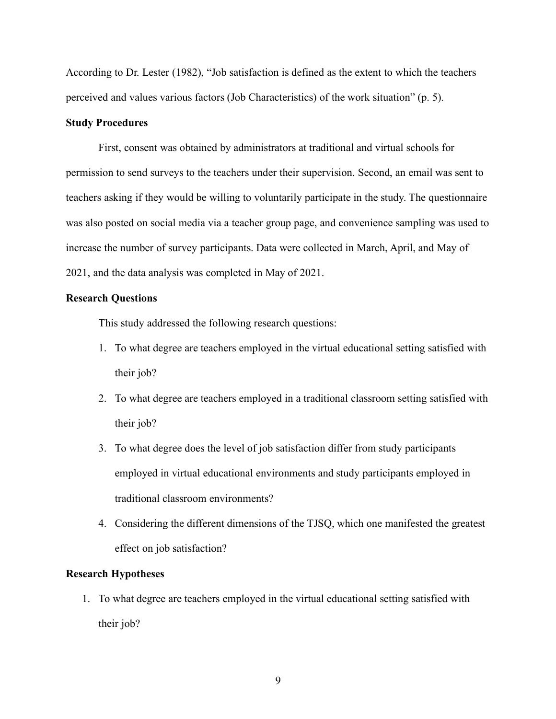According to Dr. Lester (1982), "Job satisfaction is defined as the extent to which the teachers perceived and values various factors (Job Characteristics) of the work situation" (p. 5).

# **Study Procedures**

First, consent was obtained by administrators at traditional and virtual schools for permission to send surveys to the teachers under their supervision. Second, an email was sent to teachers asking if they would be willing to voluntarily participate in the study. The questionnaire was also posted on social media via a teacher group page, and convenience sampling was used to increase the number of survey participants. Data were collected in March, April, and May of 2021, and the data analysis was completed in May of 2021.

# **Research Questions**

This study addressed the following research questions:

- 1. To what degree are teachers employed in the virtual educational setting satisfied with their job?
- 2. To what degree are teachers employed in a traditional classroom setting satisfied with their job?
- 3. To what degree does the level of job satisfaction differ from study participants employed in virtual educational environments and study participants employed in traditional classroom environments?
- 4. Considering the different dimensions of the TJSQ, which one manifested the greatest effect on job satisfaction?

# **Research Hypotheses**

1. To what degree are teachers employed in the virtual educational setting satisfied with their job?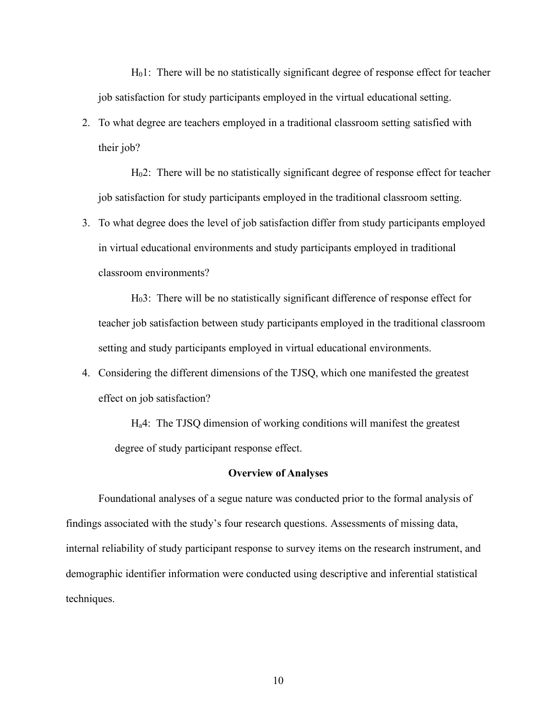H01:There will be no statistically significant degree of response effect for teacher job satisfaction for study participants employed in the virtual educational setting.

2. To what degree are teachers employed in a traditional classroom setting satisfied with their job?

H02: There will be no statistically significant degree of response effect for teacher job satisfaction for study participants employed in the traditional classroom setting.

3. To what degree does the level of job satisfaction differ from study participants employed in virtual educational environments and study participants employed in traditional classroom environments?

H03: There will be no statistically significant difference of response effect for teacher job satisfaction between study participants employed in the traditional classroom setting and study participants employed in virtual educational environments.

4. Considering the different dimensions of the TJSQ, which one manifested the greatest effect on job satisfaction?

Ha4: The TJSQ dimension of working conditions will manifest the greatest degree of study participant response effect.

### **Overview of Analyses**

Foundational analyses of a segue nature was conducted prior to the formal analysis of findings associated with the study's four research questions. Assessments of missing data, internal reliability of study participant response to survey items on the research instrument, and demographic identifier information were conducted using descriptive and inferential statistical techniques.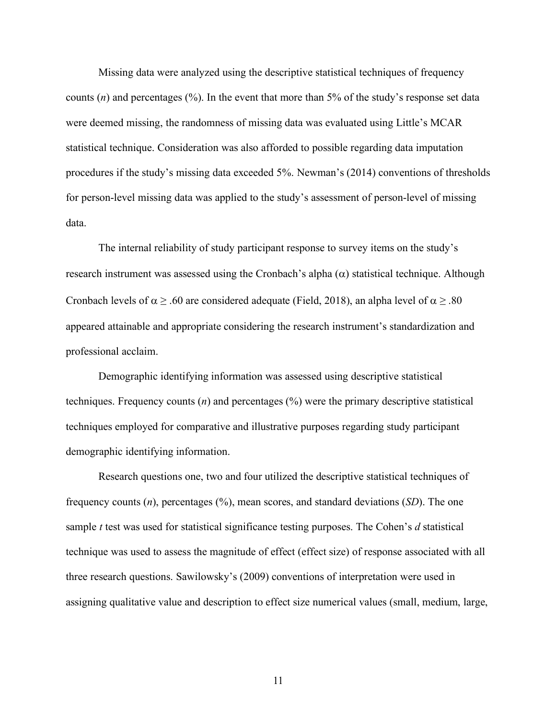Missing data were analyzed using the descriptive statistical techniques of frequency counts (*n*) and percentages (%). In the event that more than 5% of the study's response set data were deemed missing, the randomness of missing data was evaluated using Little's MCAR statistical technique. Consideration was also afforded to possible regarding data imputation procedures if the study's missing data exceeded 5%. Newman's (2014) conventions of thresholds for person-level missing data was applied to the study's assessment of person-level of missing data.

The internal reliability of study participant response to survey items on the study's research instrument was assessed using the Cronbach's alpha  $(\alpha)$  statistical technique. Although Cronbach levels of  $\alpha$  > .60 are considered adequate (Field, 2018), an alpha level of  $\alpha$  > .80 appeared attainable and appropriate considering the research instrument's standardization and professional acclaim.

Demographic identifying information was assessed using descriptive statistical techniques. Frequency counts (*n*) and percentages (%) were the primary descriptive statistical techniques employed for comparative and illustrative purposes regarding study participant demographic identifying information.

Research questions one, two and four utilized the descriptive statistical techniques of frequency counts (*n*), percentages (%), mean scores, and standard deviations (*SD*). The one sample *t* test was used for statistical significance testing purposes. The Cohen's *d* statistical technique was used to assess the magnitude of effect (effect size) of response associated with all three research questions. Sawilowsky's (2009) conventions of interpretation were used in assigning qualitative value and description to effect size numerical values (small, medium, large,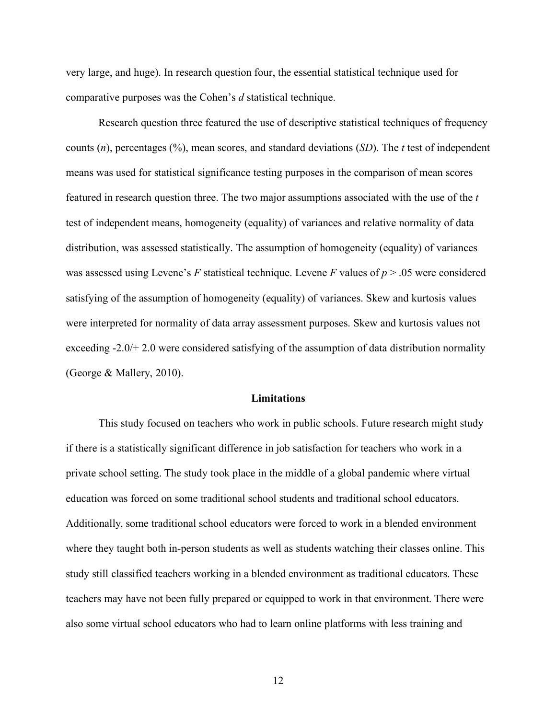very large, and huge). In research question four, the essential statistical technique used for comparative purposes was the Cohen's *d* statistical technique.

Research question three featured the use of descriptive statistical techniques of frequency counts (*n*), percentages (%), mean scores, and standard deviations (*SD*). The *t* test of independent means was used for statistical significance testing purposes in the comparison of mean scores featured in research question three. The two major assumptions associated with the use of the *t* test of independent means, homogeneity (equality) of variances and relative normality of data distribution, was assessed statistically. The assumption of homogeneity (equality) of variances was assessed using Levene's *F* statistical technique. Levene *F* values of *p* > .05 were considered satisfying of the assumption of homogeneity (equality) of variances. Skew and kurtosis values were interpreted for normality of data array assessment purposes. Skew and kurtosis values not exceeding -2.0/+ 2.0 were considered satisfying of the assumption of data distribution normality (George & Mallery, 2010).

#### **Limitations**

This study focused on teachers who work in public schools. Future research might study if there is a statistically significant difference in job satisfaction for teachers who work in a private school setting. The study took place in the middle of a global pandemic where virtual education was forced on some traditional school students and traditional school educators. Additionally, some traditional school educators were forced to work in a blended environment where they taught both in-person students as well as students watching their classes online. This study still classified teachers working in a blended environment as traditional educators. These teachers may have not been fully prepared or equipped to work in that environment. There were also some virtual school educators who had to learn online platforms with less training and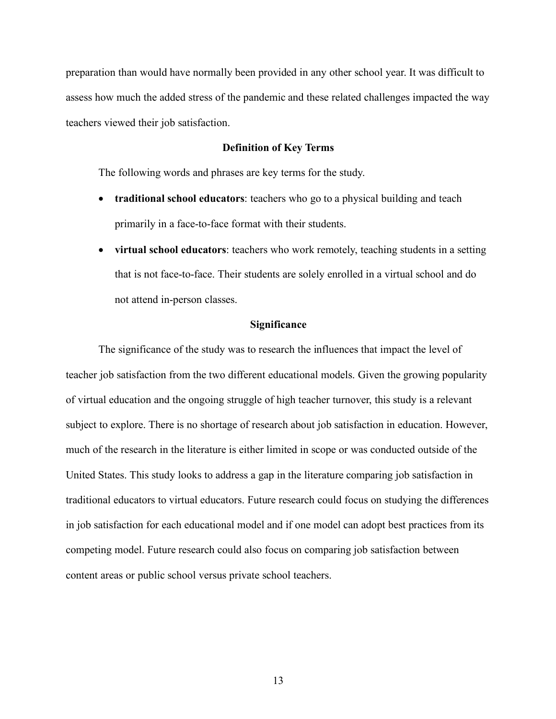preparation than would have normally been provided in any other school year. It was difficult to assess how much the added stress of the pandemic and these related challenges impacted the way teachers viewed their job satisfaction.

# **Definition of Key Terms**

The following words and phrases are key terms for the study.

- **traditional school educators**: teachers who go to a physical building and teach primarily in a face-to-face format with their students.
- **virtual school educators**: teachers who work remotely, teaching students in a setting that is not face-to-face. Their students are solely enrolled in a virtual school and do not attend in-person classes.

# **Significance**

The significance of the study was to research the influences that impact the level of teacher job satisfaction from the two different educational models. Given the growing popularity of virtual education and the ongoing struggle of high teacher turnover, this study is a relevant subject to explore. There is no shortage of research about job satisfaction in education. However, much of the research in the literature is either limited in scope or was conducted outside of the United States. This study looks to address a gap in the literature comparing job satisfaction in traditional educators to virtual educators. Future research could focus on studying the differences in job satisfaction for each educational model and if one model can adopt best practices from its competing model. Future research could also focus on comparing job satisfaction between content areas or public school versus private school teachers.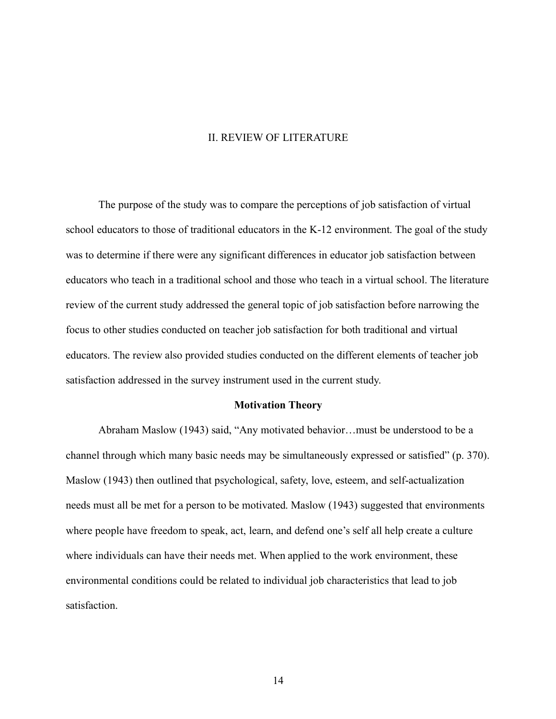#### II. REVIEW OF LITERATURE

The purpose of the study was to compare the perceptions of job satisfaction of virtual school educators to those of traditional educators in the K-12 environment. The goal of the study was to determine if there were any significant differences in educator job satisfaction between educators who teach in a traditional school and those who teach in a virtual school. The literature review of the current study addressed the general topic of job satisfaction before narrowing the focus to other studies conducted on teacher job satisfaction for both traditional and virtual educators. The review also provided studies conducted on the different elements of teacher job satisfaction addressed in the survey instrument used in the current study.

#### **Motivation Theory**

Abraham Maslow (1943) said, "Any motivated behavior…must be understood to be a channel through which many basic needs may be simultaneously expressed or satisfied" (p. 370). Maslow (1943) then outlined that psychological, safety, love, esteem, and self-actualization needs must all be met for a person to be motivated. Maslow (1943) suggested that environments where people have freedom to speak, act, learn, and defend one's self all help create a culture where individuals can have their needs met. When applied to the work environment, these environmental conditions could be related to individual job characteristics that lead to job satisfaction.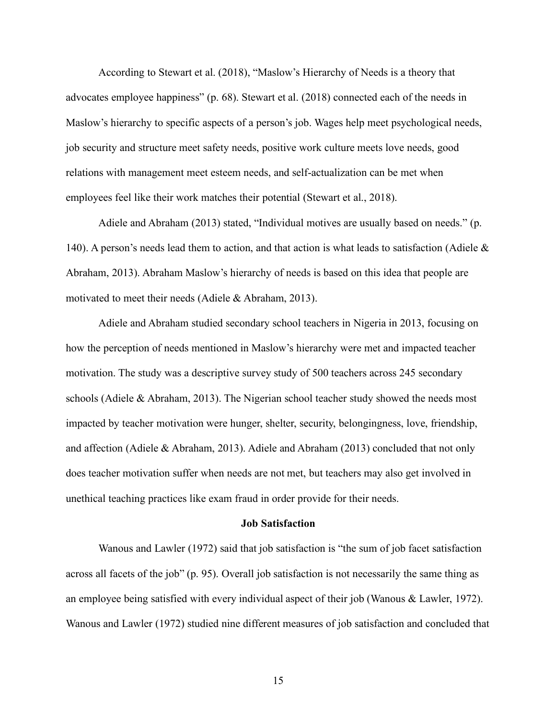According to Stewart et al. (2018), "Maslow's Hierarchy of Needs is a theory that advocates employee happiness" (p. 68). Stewart et al. (2018) connected each of the needs in Maslow's hierarchy to specific aspects of a person's job. Wages help meet psychological needs, job security and structure meet safety needs, positive work culture meets love needs, good relations with management meet esteem needs, and self-actualization can be met when employees feel like their work matches their potential (Stewart et al., 2018).

Adiele and Abraham (2013) stated, "Individual motives are usually based on needs." (p. 140). A person's needs lead them to action, and that action is what leads to satisfaction (Adiele & Abraham, 2013). Abraham Maslow's hierarchy of needs is based on this idea that people are motivated to meet their needs (Adiele & Abraham, 2013).

Adiele and Abraham studied secondary school teachers in Nigeria in 2013, focusing on how the perception of needs mentioned in Maslow's hierarchy were met and impacted teacher motivation. The study was a descriptive survey study of 500 teachers across 245 secondary schools (Adiele & Abraham, 2013). The Nigerian school teacher study showed the needs most impacted by teacher motivation were hunger, shelter, security, belongingness, love, friendship, and affection (Adiele & Abraham, 2013). Adiele and Abraham (2013) concluded that not only does teacher motivation suffer when needs are not met, but teachers may also get involved in unethical teaching practices like exam fraud in order provide for their needs.

#### **Job Satisfaction**

Wanous and Lawler (1972) said that job satisfaction is "the sum of job facet satisfaction across all facets of the job" (p. 95). Overall job satisfaction is not necessarily the same thing as an employee being satisfied with every individual aspect of their job (Wanous & Lawler, 1972). Wanous and Lawler (1972) studied nine different measures of job satisfaction and concluded that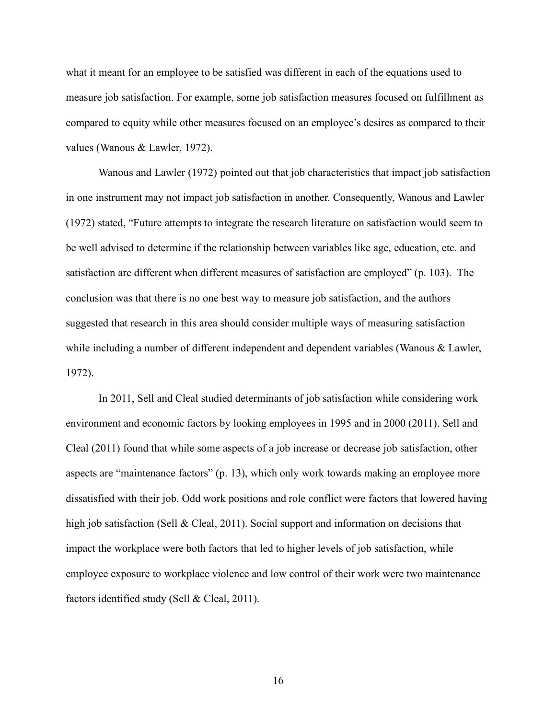what it meant for an employee to be satisfied was different in each of the equations used to measure job satisfaction. For example, some job satisfaction measures focused on fulfillment as compared to equity while other measures focused on an employee's desires as compared to their values (Wanous & Lawler, 1972).

Wanous and Lawler (1972) pointed out that job characteristics that impact job satisfaction in one instrument may not impact job satisfaction in another. Consequently, Wanous and Lawler (1972) stated, "Future attempts to integrate the research literature on satisfaction would seem to be well advised to determine if the relationship between variables like age, education, etc. and satisfaction are different when different measures of satisfaction are employed" (p. 103). The conclusion was that there is no one best way to measure job satisfaction, and the authors suggested that research in this area should consider multiple ways of measuring satisfaction while including a number of different independent and dependent variables (Wanous & Lawler, 1972).

In 2011, Sell and Cleal studied determinants of job satisfaction while considering work environment and economic factors by looking employees in 1995 and in 2000 (2011). Sell and Cleal (2011) found that while some aspects of a job increase or decrease job satisfaction, other aspects are "maintenance factors" (p. 13), which only work towards making an employee more dissatisfied with their job. Odd work positions and role conflict were factors that lowered having high job satisfaction (Sell & Cleal, 2011). Social support and information on decisions that impact the workplace were both factors that led to higher levels of job satisfaction, while employee exposure to workplace violence and low control of their work were two maintenance factors identified study (Sell & Cleal, 2011).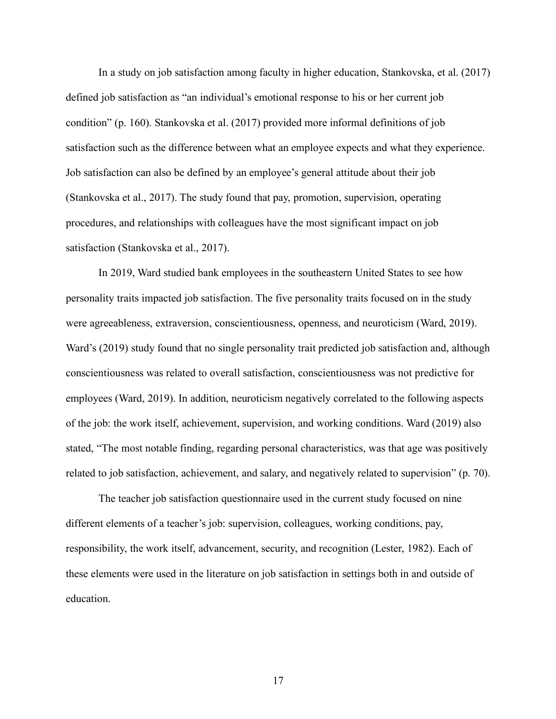In a study on job satisfaction among faculty in higher education, Stankovska, et al. (2017) defined job satisfaction as "an individual's emotional response to his or her current job condition" (p. 160). Stankovska et al. (2017) provided more informal definitions of job satisfaction such as the difference between what an employee expects and what they experience. Job satisfaction can also be defined by an employee's general attitude about their job (Stankovska et al., 2017). The study found that pay, promotion, supervision, operating procedures, and relationships with colleagues have the most significant impact on job satisfaction (Stankovska et al., 2017).

In 2019, Ward studied bank employees in the southeastern United States to see how personality traits impacted job satisfaction. The five personality traits focused on in the study were agreeableness, extraversion, conscientiousness, openness, and neuroticism (Ward, 2019). Ward's (2019) study found that no single personality trait predicted job satisfaction and, although conscientiousness was related to overall satisfaction, conscientiousness was not predictive for employees (Ward, 2019). In addition, neuroticism negatively correlated to the following aspects of the job: the work itself, achievement, supervision, and working conditions. Ward (2019) also stated, "The most notable finding, regarding personal characteristics, was that age was positively related to job satisfaction, achievement, and salary, and negatively related to supervision" (p. 70).

The teacher job satisfaction questionnaire used in the current study focused on nine different elements of a teacher's job: supervision, colleagues, working conditions, pay, responsibility, the work itself, advancement, security, and recognition (Lester, 1982). Each of these elements were used in the literature on job satisfaction in settings both in and outside of education.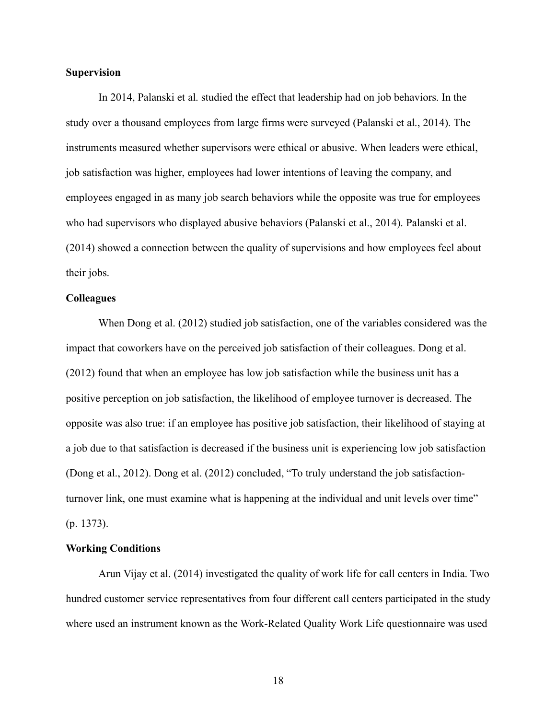### **Supervision**

In 2014, Palanski et al. studied the effect that leadership had on job behaviors. In the study over a thousand employees from large firms were surveyed (Palanski et al., 2014). The instruments measured whether supervisors were ethical or abusive. When leaders were ethical, job satisfaction was higher, employees had lower intentions of leaving the company, and employees engaged in as many job search behaviors while the opposite was true for employees who had supervisors who displayed abusive behaviors (Palanski et al., 2014). Palanski et al. (2014) showed a connection between the quality of supervisions and how employees feel about their jobs.

# **Colleagues**

When Dong et al. (2012) studied job satisfaction, one of the variables considered was the impact that coworkers have on the perceived job satisfaction of their colleagues. Dong et al. (2012) found that when an employee has low job satisfaction while the business unit has a positive perception on job satisfaction, the likelihood of employee turnover is decreased. The opposite was also true: if an employee has positive job satisfaction, their likelihood of staying at a job due to that satisfaction is decreased if the business unit is experiencing low job satisfaction (Dong et al., 2012). Dong et al. (2012) concluded, "To truly understand the job satisfactionturnover link, one must examine what is happening at the individual and unit levels over time" (p. 1373).

#### **Working Conditions**

Arun Vijay et al. (2014) investigated the quality of work life for call centers in India. Two hundred customer service representatives from four different call centers participated in the study where used an instrument known as the Work-Related Quality Work Life questionnaire was used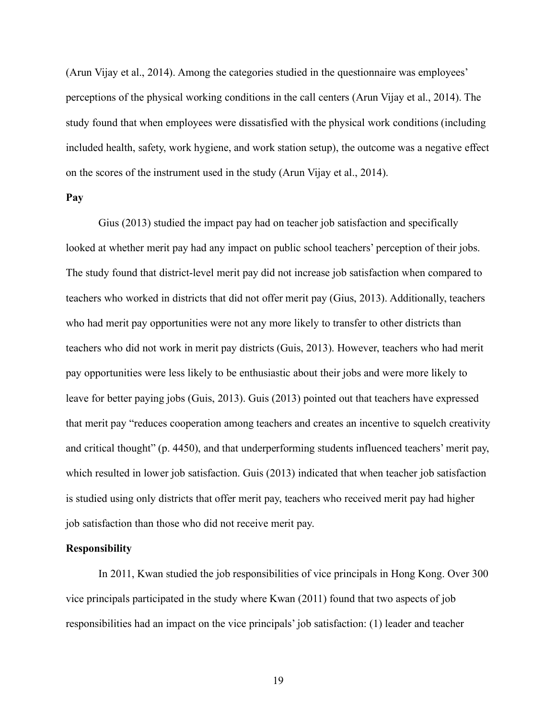(Arun Vijay et al., 2014). Among the categories studied in the questionnaire was employees' perceptions of the physical working conditions in the call centers (Arun Vijay et al., 2014). The study found that when employees were dissatisfied with the physical work conditions (including included health, safety, work hygiene, and work station setup), the outcome was a negative effect on the scores of the instrument used in the study (Arun Vijay et al., 2014).

# **Pay**

Gius (2013) studied the impact pay had on teacher job satisfaction and specifically looked at whether merit pay had any impact on public school teachers' perception of their jobs. The study found that district-level merit pay did not increase job satisfaction when compared to teachers who worked in districts that did not offer merit pay (Gius, 2013). Additionally, teachers who had merit pay opportunities were not any more likely to transfer to other districts than teachers who did not work in merit pay districts (Guis, 2013). However, teachers who had merit pay opportunities were less likely to be enthusiastic about their jobs and were more likely to leave for better paying jobs (Guis, 2013). Guis (2013) pointed out that teachers have expressed that merit pay "reduces cooperation among teachers and creates an incentive to squelch creativity and critical thought" (p. 4450), and that underperforming students influenced teachers' merit pay, which resulted in lower job satisfaction. Guis (2013) indicated that when teacher job satisfaction is studied using only districts that offer merit pay, teachers who received merit pay had higher job satisfaction than those who did not receive merit pay.

# **Responsibility**

In 2011, Kwan studied the job responsibilities of vice principals in Hong Kong. Over 300 vice principals participated in the study where Kwan (2011) found that two aspects of job responsibilities had an impact on the vice principals' job satisfaction: (1) leader and teacher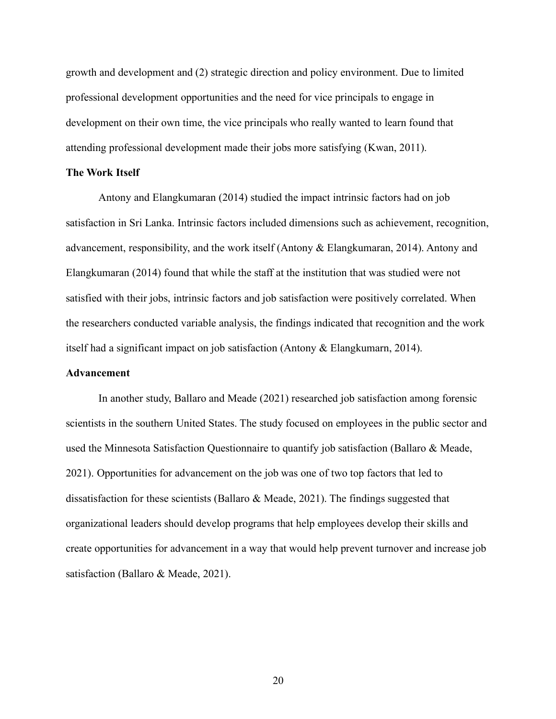growth and development and (2) strategic direction and policy environment. Due to limited professional development opportunities and the need for vice principals to engage in development on their own time, the vice principals who really wanted to learn found that attending professional development made their jobs more satisfying (Kwan, 2011).

#### **The Work Itself**

Antony and Elangkumaran (2014) studied the impact intrinsic factors had on job satisfaction in Sri Lanka. Intrinsic factors included dimensions such as achievement, recognition, advancement, responsibility, and the work itself (Antony & Elangkumaran, 2014). Antony and Elangkumaran (2014) found that while the staff at the institution that was studied were not satisfied with their jobs, intrinsic factors and job satisfaction were positively correlated. When the researchers conducted variable analysis, the findings indicated that recognition and the work itself had a significant impact on job satisfaction (Antony & Elangkumarn, 2014).

## **Advancement**

In another study, Ballaro and Meade (2021) researched job satisfaction among forensic scientists in the southern United States. The study focused on employees in the public sector and used the Minnesota Satisfaction Questionnaire to quantify job satisfaction (Ballaro & Meade, 2021). Opportunities for advancement on the job was one of two top factors that led to dissatisfaction for these scientists (Ballaro & Meade, 2021). The findings suggested that organizational leaders should develop programs that help employees develop their skills and create opportunities for advancement in a way that would help prevent turnover and increase job satisfaction (Ballaro & Meade, 2021).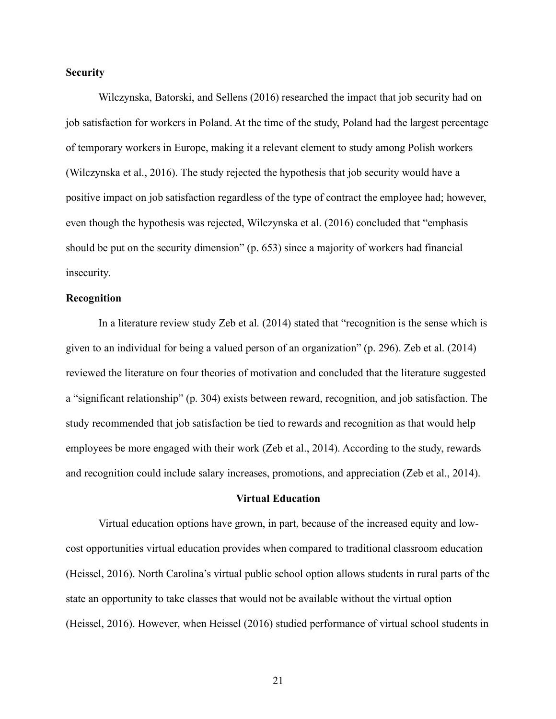# **Security**

Wilczynska, Batorski, and Sellens (2016) researched the impact that job security had on job satisfaction for workers in Poland. At the time of the study, Poland had the largest percentage of temporary workers in Europe, making it a relevant element to study among Polish workers (Wilczynska et al., 2016). The study rejected the hypothesis that job security would have a positive impact on job satisfaction regardless of the type of contract the employee had; however, even though the hypothesis was rejected, Wilczynska et al. (2016) concluded that "emphasis should be put on the security dimension" (p. 653) since a majority of workers had financial insecurity.

# **Recognition**

In a literature review study Zeb et al. (2014) stated that "recognition is the sense which is given to an individual for being a valued person of an organization" (p. 296). Zeb et al. (2014) reviewed the literature on four theories of motivation and concluded that the literature suggested a "significant relationship" (p. 304) exists between reward, recognition, and job satisfaction. The study recommended that job satisfaction be tied to rewards and recognition as that would help employees be more engaged with their work (Zeb et al., 2014). According to the study, rewards and recognition could include salary increases, promotions, and appreciation (Zeb et al., 2014).

#### **Virtual Education**

Virtual education options have grown, in part, because of the increased equity and lowcost opportunities virtual education provides when compared to traditional classroom education (Heissel, 2016). North Carolina's virtual public school option allows students in rural parts of the state an opportunity to take classes that would not be available without the virtual option (Heissel, 2016). However, when Heissel (2016) studied performance of virtual school students in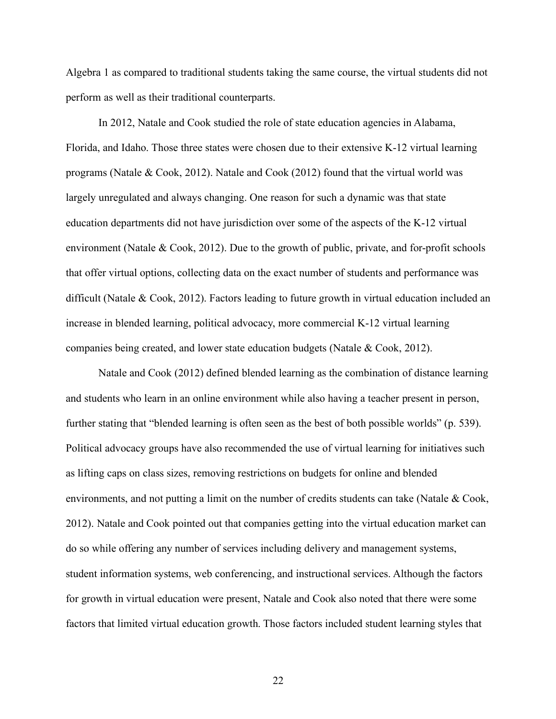Algebra 1 as compared to traditional students taking the same course, the virtual students did not perform as well as their traditional counterparts.

In 2012, Natale and Cook studied the role of state education agencies in Alabama, Florida, and Idaho. Those three states were chosen due to their extensive K-12 virtual learning programs (Natale & Cook, 2012). Natale and Cook (2012) found that the virtual world was largely unregulated and always changing. One reason for such a dynamic was that state education departments did not have jurisdiction over some of the aspects of the K-12 virtual environment (Natale & Cook, 2012). Due to the growth of public, private, and for-profit schools that offer virtual options, collecting data on the exact number of students and performance was difficult (Natale & Cook, 2012). Factors leading to future growth in virtual education included an increase in blended learning, political advocacy, more commercial K-12 virtual learning companies being created, and lower state education budgets (Natale & Cook, 2012).

Natale and Cook (2012) defined blended learning as the combination of distance learning and students who learn in an online environment while also having a teacher present in person, further stating that "blended learning is often seen as the best of both possible worlds" (p. 539). Political advocacy groups have also recommended the use of virtual learning for initiatives such as lifting caps on class sizes, removing restrictions on budgets for online and blended environments, and not putting a limit on the number of credits students can take (Natale & Cook, 2012). Natale and Cook pointed out that companies getting into the virtual education market can do so while offering any number of services including delivery and management systems, student information systems, web conferencing, and instructional services. Although the factors for growth in virtual education were present, Natale and Cook also noted that there were some factors that limited virtual education growth. Those factors included student learning styles that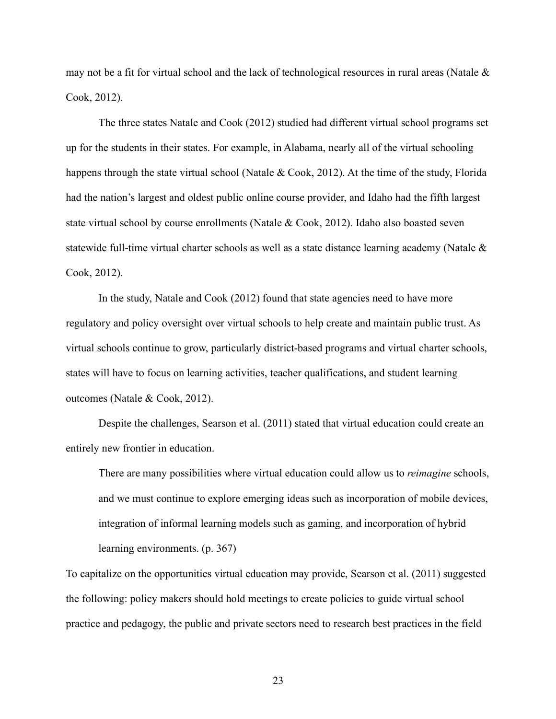may not be a fit for virtual school and the lack of technological resources in rural areas (Natale & Cook, 2012).

The three states Natale and Cook (2012) studied had different virtual school programs set up for the students in their states. For example, in Alabama, nearly all of the virtual schooling happens through the state virtual school (Natale & Cook, 2012). At the time of the study, Florida had the nation's largest and oldest public online course provider, and Idaho had the fifth largest state virtual school by course enrollments (Natale & Cook, 2012). Idaho also boasted seven statewide full-time virtual charter schools as well as a state distance learning academy (Natale & Cook, 2012).

In the study, Natale and Cook (2012) found that state agencies need to have more regulatory and policy oversight over virtual schools to help create and maintain public trust. As virtual schools continue to grow, particularly district-based programs and virtual charter schools, states will have to focus on learning activities, teacher qualifications, and student learning outcomes (Natale & Cook, 2012).

Despite the challenges, Searson et al. (2011) stated that virtual education could create an entirely new frontier in education.

There are many possibilities where virtual education could allow us to *reimagine* schools, and we must continue to explore emerging ideas such as incorporation of mobile devices, integration of informal learning models such as gaming, and incorporation of hybrid learning environments. (p. 367)

To capitalize on the opportunities virtual education may provide, Searson et al. (2011) suggested the following: policy makers should hold meetings to create policies to guide virtual school practice and pedagogy, the public and private sectors need to research best practices in the field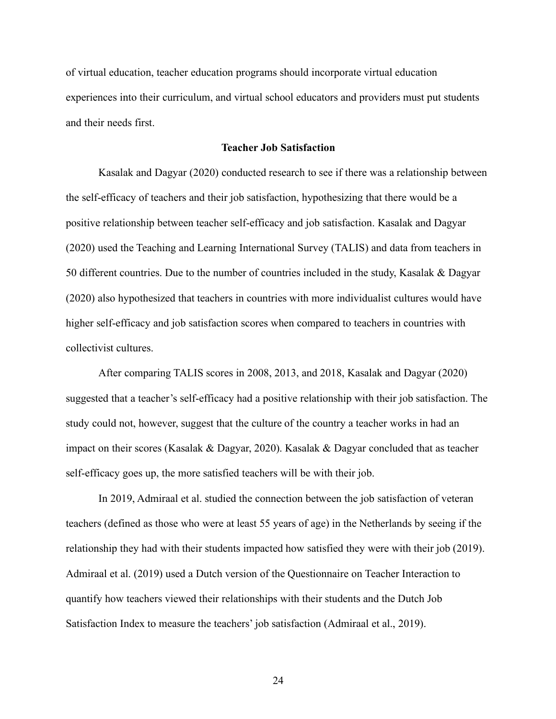of virtual education, teacher education programs should incorporate virtual education experiences into their curriculum, and virtual school educators and providers must put students and their needs first.

### **Teacher Job Satisfaction**

Kasalak and Dagyar (2020) conducted research to see if there was a relationship between the self-efficacy of teachers and their job satisfaction, hypothesizing that there would be a positive relationship between teacher self-efficacy and job satisfaction. Kasalak and Dagyar (2020) used the Teaching and Learning International Survey (TALIS) and data from teachers in 50 different countries. Due to the number of countries included in the study, Kasalak & Dagyar (2020) also hypothesized that teachers in countries with more individualist cultures would have higher self-efficacy and job satisfaction scores when compared to teachers in countries with collectivist cultures.

After comparing TALIS scores in 2008, 2013, and 2018, Kasalak and Dagyar (2020) suggested that a teacher's self-efficacy had a positive relationship with their job satisfaction. The study could not, however, suggest that the culture of the country a teacher works in had an impact on their scores (Kasalak & Dagyar, 2020). Kasalak & Dagyar concluded that as teacher self-efficacy goes up, the more satisfied teachers will be with their job.

In 2019, Admiraal et al. studied the connection between the job satisfaction of veteran teachers (defined as those who were at least 55 years of age) in the Netherlands by seeing if the relationship they had with their students impacted how satisfied they were with their job (2019). Admiraal et al. (2019) used a Dutch version of the Questionnaire on Teacher Interaction to quantify how teachers viewed their relationships with their students and the Dutch Job Satisfaction Index to measure the teachers' job satisfaction (Admiraal et al., 2019).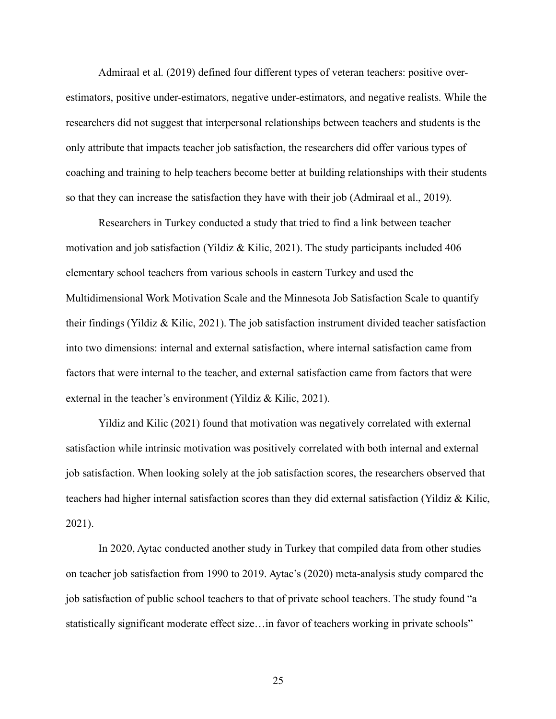Admiraal et al. (2019) defined four different types of veteran teachers: positive overestimators, positive under-estimators, negative under-estimators, and negative realists. While the researchers did not suggest that interpersonal relationships between teachers and students is the only attribute that impacts teacher job satisfaction, the researchers did offer various types of coaching and training to help teachers become better at building relationships with their students so that they can increase the satisfaction they have with their job (Admiraal et al., 2019).

Researchers in Turkey conducted a study that tried to find a link between teacher motivation and job satisfaction (Yildiz & Kilic, 2021). The study participants included 406 elementary school teachers from various schools in eastern Turkey and used the Multidimensional Work Motivation Scale and the Minnesota Job Satisfaction Scale to quantify their findings (Yildiz & Kilic, 2021). The job satisfaction instrument divided teacher satisfaction into two dimensions: internal and external satisfaction, where internal satisfaction came from factors that were internal to the teacher, and external satisfaction came from factors that were external in the teacher's environment (Yildiz & Kilic, 2021).

Yildiz and Kilic (2021) found that motivation was negatively correlated with external satisfaction while intrinsic motivation was positively correlated with both internal and external job satisfaction. When looking solely at the job satisfaction scores, the researchers observed that teachers had higher internal satisfaction scores than they did external satisfaction (Yildiz & Kilic, 2021).

In 2020, Aytac conducted another study in Turkey that compiled data from other studies on teacher job satisfaction from 1990 to 2019. Aytac's (2020) meta-analysis study compared the job satisfaction of public school teachers to that of private school teachers. The study found "a statistically significant moderate effect size…in favor of teachers working in private schools"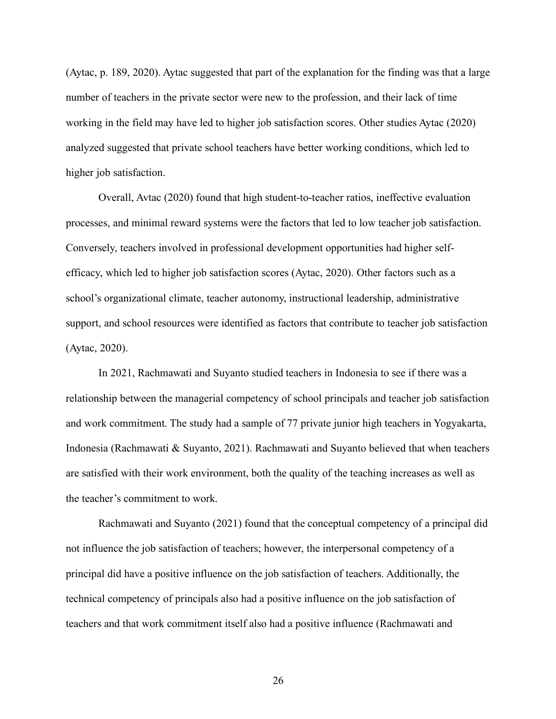(Aytac, p. 189, 2020). Aytac suggested that part of the explanation for the finding was that a large number of teachers in the private sector were new to the profession, and their lack of time working in the field may have led to higher job satisfaction scores. Other studies Aytac (2020) analyzed suggested that private school teachers have better working conditions, which led to higher job satisfaction.

Overall, Avtac (2020) found that high student-to-teacher ratios, ineffective evaluation processes, and minimal reward systems were the factors that led to low teacher job satisfaction. Conversely, teachers involved in professional development opportunities had higher selfefficacy, which led to higher job satisfaction scores (Aytac, 2020). Other factors such as a school's organizational climate, teacher autonomy, instructional leadership, administrative support, and school resources were identified as factors that contribute to teacher job satisfaction (Aytac, 2020).

In 2021, Rachmawati and Suyanto studied teachers in Indonesia to see if there was a relationship between the managerial competency of school principals and teacher job satisfaction and work commitment. The study had a sample of 77 private junior high teachers in Yogyakarta, Indonesia (Rachmawati & Suyanto, 2021). Rachmawati and Suyanto believed that when teachers are satisfied with their work environment, both the quality of the teaching increases as well as the teacher's commitment to work.

Rachmawati and Suyanto (2021) found that the conceptual competency of a principal did not influence the job satisfaction of teachers; however, the interpersonal competency of a principal did have a positive influence on the job satisfaction of teachers. Additionally, the technical competency of principals also had a positive influence on the job satisfaction of teachers and that work commitment itself also had a positive influence (Rachmawati and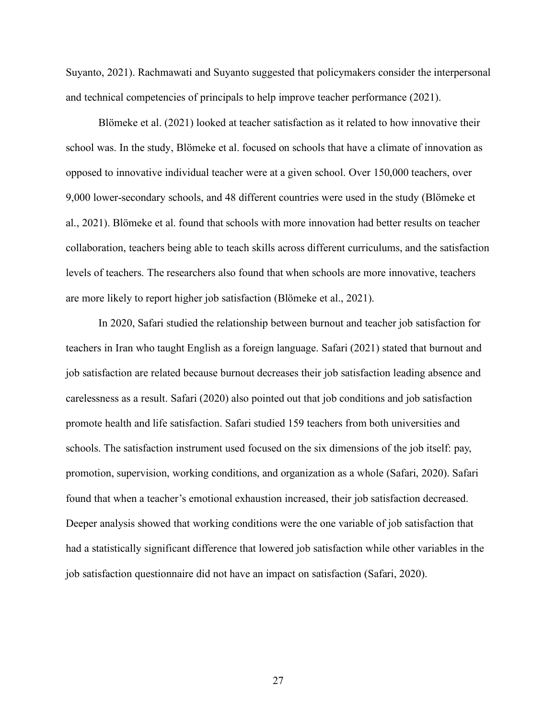Suyanto, 2021). Rachmawati and Suyanto suggested that policymakers consider the interpersonal and technical competencies of principals to help improve teacher performance (2021).

Blömeke et al. (2021) looked at teacher satisfaction as it related to how innovative their school was. In the study, Blömeke et al. focused on schools that have a climate of innovation as opposed to innovative individual teacher were at a given school. Over 150,000 teachers, over 9,000 lower-secondary schools, and 48 different countries were used in the study (Blömeke et al., 2021). Blömeke et al. found that schools with more innovation had better results on teacher collaboration, teachers being able to teach skills across different curriculums, and the satisfaction levels of teachers. The researchers also found that when schools are more innovative, teachers are more likely to report higher job satisfaction (Blömeke et al., 2021).

In 2020, Safari studied the relationship between burnout and teacher job satisfaction for teachers in Iran who taught English as a foreign language. Safari (2021) stated that burnout and job satisfaction are related because burnout decreases their job satisfaction leading absence and carelessness as a result. Safari (2020) also pointed out that job conditions and job satisfaction promote health and life satisfaction. Safari studied 159 teachers from both universities and schools. The satisfaction instrument used focused on the six dimensions of the job itself: pay, promotion, supervision, working conditions, and organization as a whole (Safari, 2020). Safari found that when a teacher's emotional exhaustion increased, their job satisfaction decreased. Deeper analysis showed that working conditions were the one variable of job satisfaction that had a statistically significant difference that lowered job satisfaction while other variables in the job satisfaction questionnaire did not have an impact on satisfaction (Safari, 2020).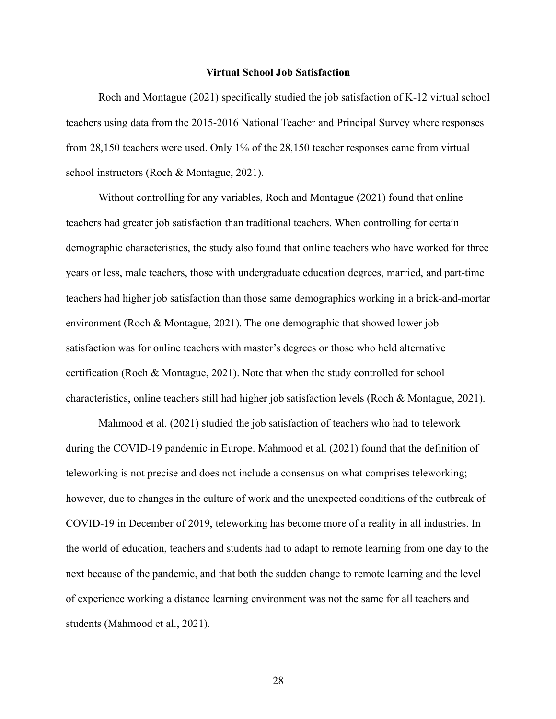#### **Virtual School Job Satisfaction**

Roch and Montague (2021) specifically studied the job satisfaction of K-12 virtual school teachers using data from the 2015-2016 National Teacher and Principal Survey where responses from 28,150 teachers were used. Only 1% of the 28,150 teacher responses came from virtual school instructors (Roch & Montague, 2021).

Without controlling for any variables, Roch and Montague (2021) found that online teachers had greater job satisfaction than traditional teachers. When controlling for certain demographic characteristics, the study also found that online teachers who have worked for three years or less, male teachers, those with undergraduate education degrees, married, and part-time teachers had higher job satisfaction than those same demographics working in a brick-and-mortar environment (Roch & Montague, 2021). The one demographic that showed lower job satisfaction was for online teachers with master's degrees or those who held alternative certification (Roch & Montague, 2021). Note that when the study controlled for school characteristics, online teachers still had higher job satisfaction levels (Roch & Montague, 2021).

Mahmood et al. (2021) studied the job satisfaction of teachers who had to telework during the COVID-19 pandemic in Europe. Mahmood et al. (2021) found that the definition of teleworking is not precise and does not include a consensus on what comprises teleworking; however, due to changes in the culture of work and the unexpected conditions of the outbreak of COVID-19 in December of 2019, teleworking has become more of a reality in all industries. In the world of education, teachers and students had to adapt to remote learning from one day to the next because of the pandemic, and that both the sudden change to remote learning and the level of experience working a distance learning environment was not the same for all teachers and students (Mahmood et al., 2021).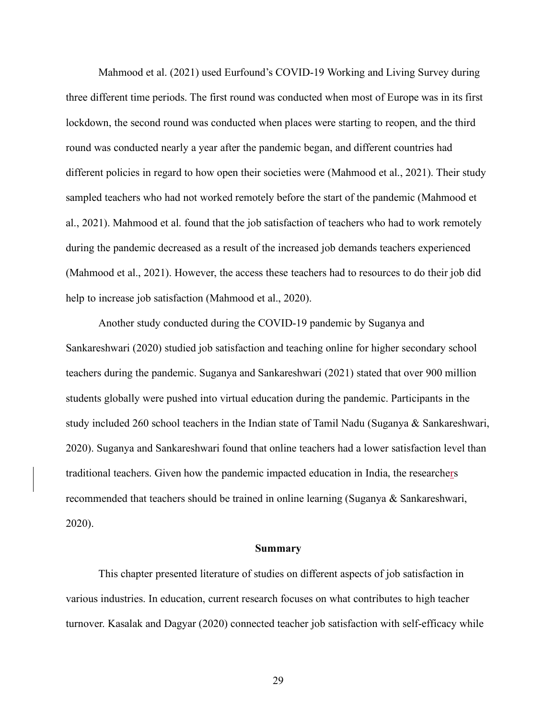Mahmood et al. (2021) used Eurfound's COVID-19 Working and Living Survey during three different time periods. The first round was conducted when most of Europe was in its first lockdown, the second round was conducted when places were starting to reopen, and the third round was conducted nearly a year after the pandemic began, and different countries had different policies in regard to how open their societies were (Mahmood et al., 2021). Their study sampled teachers who had not worked remotely before the start of the pandemic (Mahmood et al., 2021). Mahmood et al. found that the job satisfaction of teachers who had to work remotely during the pandemic decreased as a result of the increased job demands teachers experienced (Mahmood et al., 2021). However, the access these teachers had to resources to do their job did help to increase job satisfaction (Mahmood et al., 2020).

Another study conducted during the COVID-19 pandemic by Suganya and Sankareshwari (2020) studied job satisfaction and teaching online for higher secondary school teachers during the pandemic. Suganya and Sankareshwari (2021) stated that over 900 million students globally were pushed into virtual education during the pandemic. Participants in the study included 260 school teachers in the Indian state of Tamil Nadu (Suganya & Sankareshwari, 2020). Suganya and Sankareshwari found that online teachers had a lower satisfaction level than traditional teachers. Given how the pandemic impacted education in India, the researchers recommended that teachers should be trained in online learning (Suganya & Sankareshwari, 2020).

### **Summary**

This chapter presented literature of studies on different aspects of job satisfaction in various industries. In education, current research focuses on what contributes to high teacher turnover. Kasalak and Dagyar (2020) connected teacher job satisfaction with self-efficacy while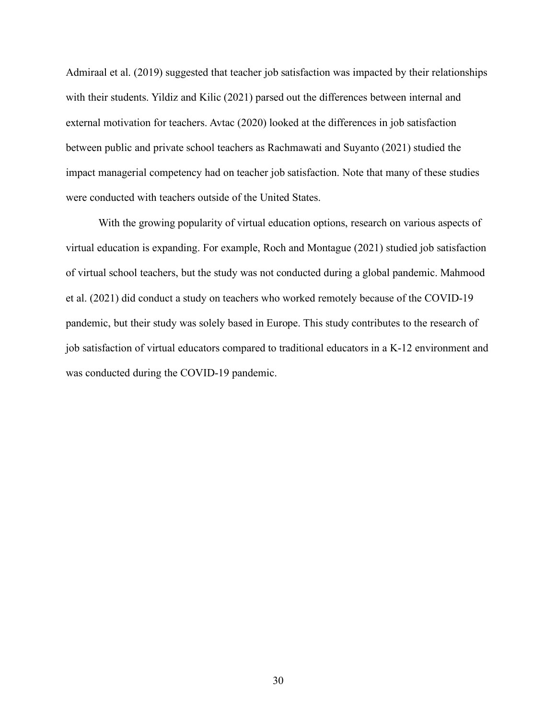Admiraal et al. (2019) suggested that teacher job satisfaction was impacted by their relationships with their students. Yildiz and Kilic (2021) parsed out the differences between internal and external motivation for teachers. Avtac (2020) looked at the differences in job satisfaction between public and private school teachers as Rachmawati and Suyanto (2021) studied the impact managerial competency had on teacher job satisfaction. Note that many of these studies were conducted with teachers outside of the United States.

With the growing popularity of virtual education options, research on various aspects of virtual education is expanding. For example, Roch and Montague (2021) studied job satisfaction of virtual school teachers, but the study was not conducted during a global pandemic. Mahmood et al. (2021) did conduct a study on teachers who worked remotely because of the COVID-19 pandemic, but their study was solely based in Europe. This study contributes to the research of job satisfaction of virtual educators compared to traditional educators in a K-12 environment and was conducted during the COVID-19 pandemic.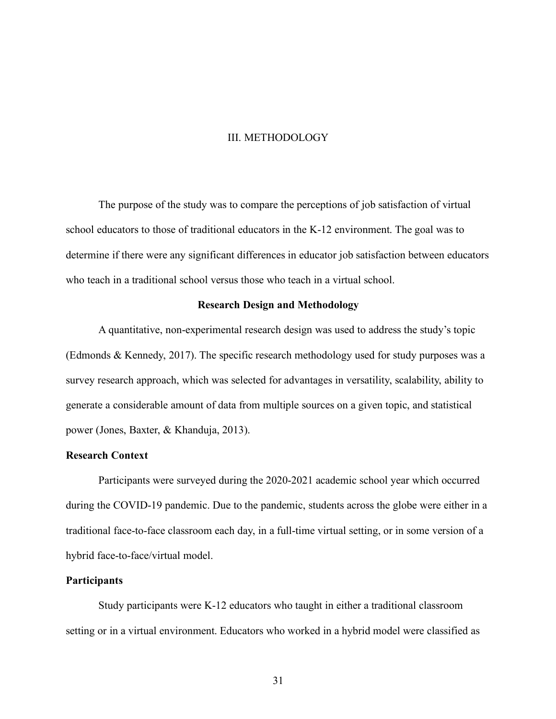#### III. METHODOLOGY

The purpose of the study was to compare the perceptions of job satisfaction of virtual school educators to those of traditional educators in the K-12 environment. The goal was to determine if there were any significant differences in educator job satisfaction between educators who teach in a traditional school versus those who teach in a virtual school.

### **Research Design and Methodology**

A quantitative, non-experimental research design was used to address the study's topic (Edmonds & Kennedy, 2017). The specific research methodology used for study purposes was a survey research approach, which was selected for advantages in versatility, scalability, ability to generate a considerable amount of data from multiple sources on a given topic, and statistical power (Jones, Baxter, & Khanduja, 2013).

# **Research Context**

Participants were surveyed during the 2020-2021 academic school year which occurred during the COVID-19 pandemic. Due to the pandemic, students across the globe were either in a traditional face-to-face classroom each day, in a full-time virtual setting, or in some version of a hybrid face-to-face/virtual model.

### **Participants**

Study participants were K-12 educators who taught in either a traditional classroom setting or in a virtual environment. Educators who worked in a hybrid model were classified as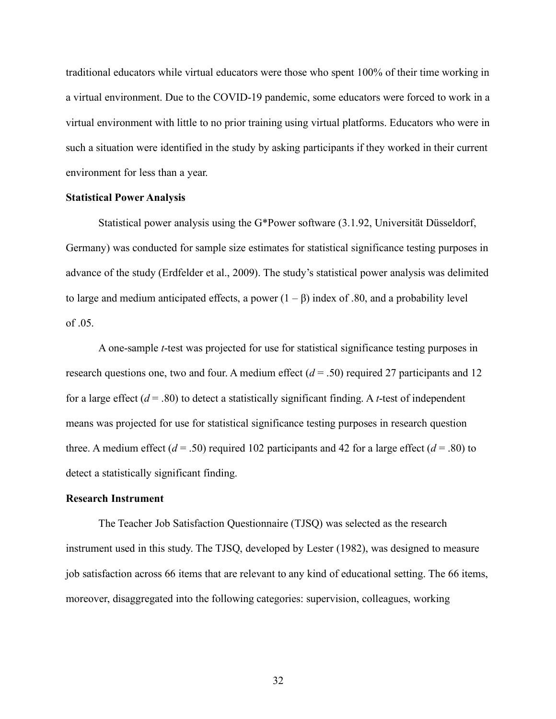traditional educators while virtual educators were those who spent 100% of their time working in a virtual environment. Due to the COVID-19 pandemic, some educators were forced to work in a virtual environment with little to no prior training using virtual platforms. Educators who were in such a situation were identified in the study by asking participants if they worked in their current environment for less than a year.

### **Statistical Power Analysis**

Statistical power analysis using the G\*Power software (3.1.92, Universität Düsseldorf, Germany) was conducted for sample size estimates for statistical significance testing purposes in advance of the study (Erdfelder et al., 2009). The study's statistical power analysis was delimited to large and medium anticipated effects, a power  $(1 – β)$  index of .80, and a probability level of .05.

A one-sample *t*-test was projected for use for statistical significance testing purposes in research questions one, two and four. A medium effect  $(d = .50)$  required 27 participants and 12 for a large effect  $(d = .80)$  to detect a statistically significant finding. A *t*-test of independent means was projected for use for statistical significance testing purposes in research question three. A medium effect  $(d = .50)$  required 102 participants and 42 for a large effect  $(d = .80)$  to detect a statistically significant finding.

### **Research Instrument**

The Teacher Job Satisfaction Questionnaire (TJSQ) was selected as the research instrument used in this study. The TJSQ, developed by Lester (1982), was designed to measure job satisfaction across 66 items that are relevant to any kind of educational setting. The 66 items, moreover, disaggregated into the following categories: supervision, colleagues, working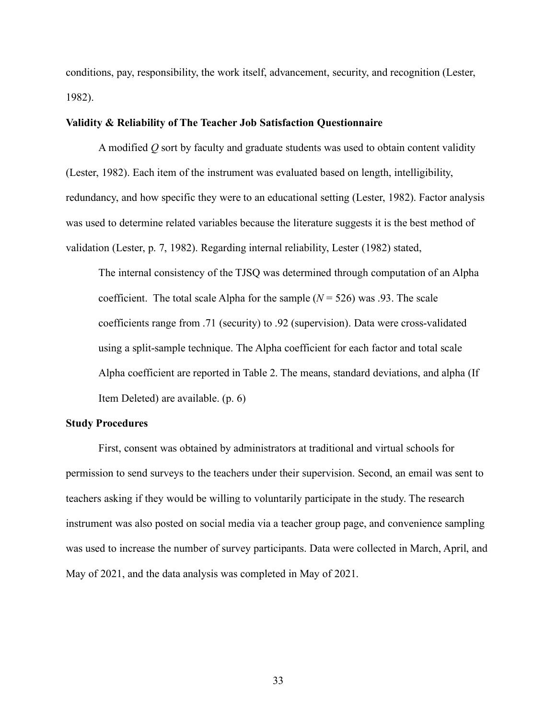conditions, pay, responsibility, the work itself, advancement, security, and recognition (Lester, 1982).

### **Validity & Reliability of The Teacher Job Satisfaction Questionnaire**

A modified *Q* sort by faculty and graduate students was used to obtain content validity (Lester, 1982). Each item of the instrument was evaluated based on length, intelligibility, redundancy, and how specific they were to an educational setting (Lester, 1982). Factor analysis was used to determine related variables because the literature suggests it is the best method of validation (Lester, p. 7, 1982). Regarding internal reliability, Lester (1982) stated,

The internal consistency of the TJSQ was determined through computation of an Alpha coefficient. The total scale Alpha for the sample  $(N = 526)$  was .93. The scale coefficients range from .71 (security) to .92 (supervision). Data were cross-validated using a split-sample technique. The Alpha coefficient for each factor and total scale Alpha coefficient are reported in Table 2. The means, standard deviations, and alpha (If Item Deleted) are available. (p. 6)

### **Study Procedures**

First, consent was obtained by administrators at traditional and virtual schools for permission to send surveys to the teachers under their supervision. Second, an email was sent to teachers asking if they would be willing to voluntarily participate in the study. The research instrument was also posted on social media via a teacher group page, and convenience sampling was used to increase the number of survey participants. Data were collected in March, April, and May of 2021, and the data analysis was completed in May of 2021.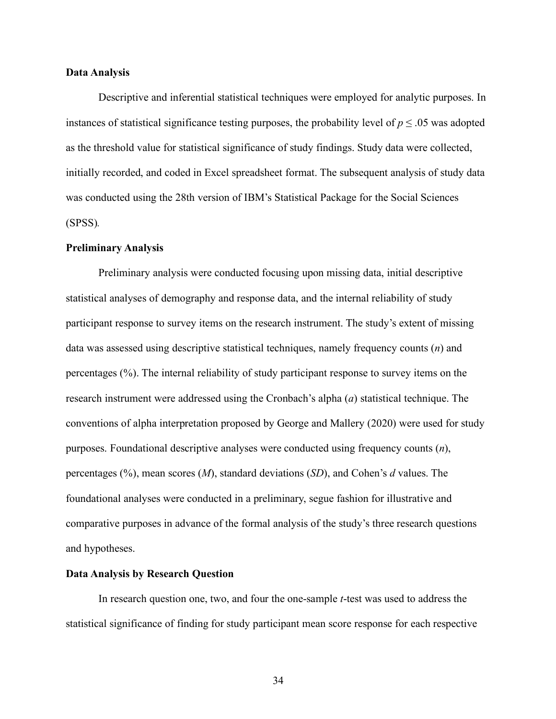### **Data Analysis**

Descriptive and inferential statistical techniques were employed for analytic purposes. In instances of statistical significance testing purposes, the probability level of  $p \le 0.05$  was adopted as the threshold value for statistical significance of study findings. Study data were collected, initially recorded, and coded in Excel spreadsheet format. The subsequent analysis of study data was conducted using the 28th version of IBM's Statistical Package for the Social Sciences (SPSS)*.*

### **Preliminary Analysis**

Preliminary analysis were conducted focusing upon missing data, initial descriptive statistical analyses of demography and response data, and the internal reliability of study participant response to survey items on the research instrument. The study's extent of missing data was assessed using descriptive statistical techniques, namely frequency counts (*n*) and percentages (%). The internal reliability of study participant response to survey items on the research instrument were addressed using the Cronbach's alpha (*a*) statistical technique. The conventions of alpha interpretation proposed by George and Mallery (2020) were used for study purposes. Foundational descriptive analyses were conducted using frequency counts (*n*), percentages (%), mean scores (*M*), standard deviations (*SD*), and Cohen's *d* values. The foundational analyses were conducted in a preliminary, segue fashion for illustrative and comparative purposes in advance of the formal analysis of the study's three research questions and hypotheses.

### **Data Analysis by Research Question**

In research question one, two, and four the one-sample *t*-test was used to address the statistical significance of finding for study participant mean score response for each respective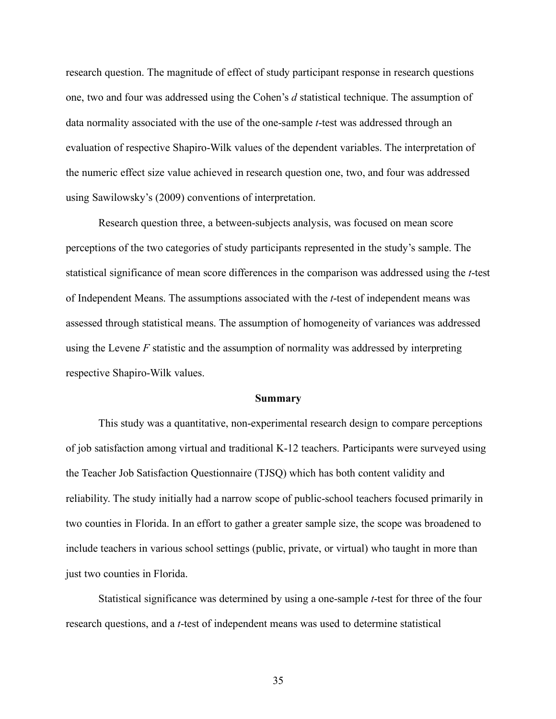research question. The magnitude of effect of study participant response in research questions one, two and four was addressed using the Cohen's *d* statistical technique. The assumption of data normality associated with the use of the one-sample *t*-test was addressed through an evaluation of respective Shapiro-Wilk values of the dependent variables. The interpretation of the numeric effect size value achieved in research question one, two, and four was addressed using Sawilowsky's (2009) conventions of interpretation.

Research question three, a between-subjects analysis, was focused on mean score perceptions of the two categories of study participants represented in the study's sample. The statistical significance of mean score differences in the comparison was addressed using the *t*-test of Independent Means. The assumptions associated with the *t*-test of independent means was assessed through statistical means. The assumption of homogeneity of variances was addressed using the Levene *F* statistic and the assumption of normality was addressed by interpreting respective Shapiro-Wilk values.

#### **Summary**

This study was a quantitative, non-experimental research design to compare perceptions of job satisfaction among virtual and traditional K-12 teachers. Participants were surveyed using the Teacher Job Satisfaction Questionnaire (TJSQ) which has both content validity and reliability. The study initially had a narrow scope of public-school teachers focused primarily in two counties in Florida. In an effort to gather a greater sample size, the scope was broadened to include teachers in various school settings (public, private, or virtual) who taught in more than just two counties in Florida.

Statistical significance was determined by using a one-sample *t*-test for three of the four research questions, and a *t*-test of independent means was used to determine statistical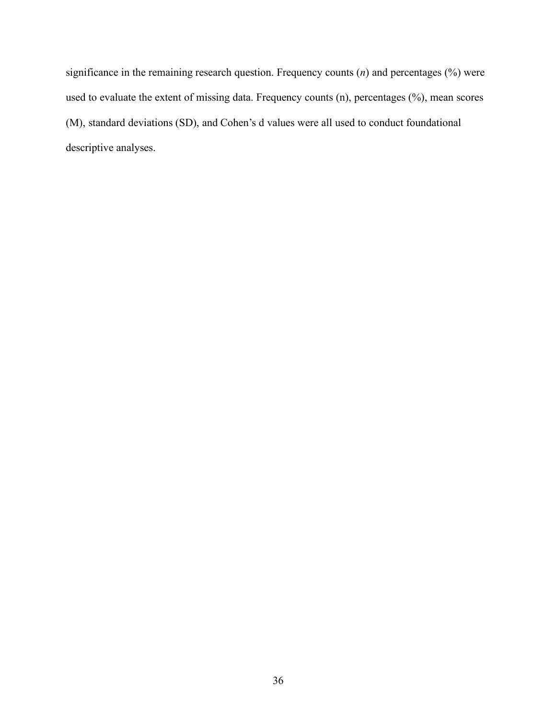significance in the remaining research question. Frequency counts (*n*) and percentages (%) were used to evaluate the extent of missing data. Frequency counts (n), percentages (%), mean scores (M), standard deviations (SD), and Cohen's d values were all used to conduct foundational descriptive analyses.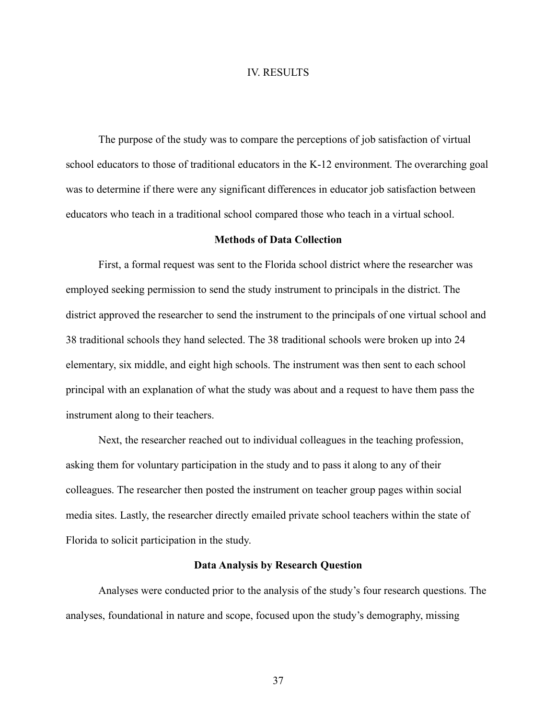### IV. RESULTS

The purpose of the study was to compare the perceptions of job satisfaction of virtual school educators to those of traditional educators in the K-12 environment. The overarching goal was to determine if there were any significant differences in educator job satisfaction between educators who teach in a traditional school compared those who teach in a virtual school.

# **Methods of Data Collection**

First, a formal request was sent to the Florida school district where the researcher was employed seeking permission to send the study instrument to principals in the district. The district approved the researcher to send the instrument to the principals of one virtual school and 38 traditional schools they hand selected. The 38 traditional schools were broken up into 24 elementary, six middle, and eight high schools. The instrument was then sent to each school principal with an explanation of what the study was about and a request to have them pass the instrument along to their teachers.

Next, the researcher reached out to individual colleagues in the teaching profession, asking them for voluntary participation in the study and to pass it along to any of their colleagues. The researcher then posted the instrument on teacher group pages within social media sites. Lastly, the researcher directly emailed private school teachers within the state of Florida to solicit participation in the study.

### **Data Analysis by Research Question**

Analyses were conducted prior to the analysis of the study's four research questions. The analyses, foundational in nature and scope, focused upon the study's demography, missing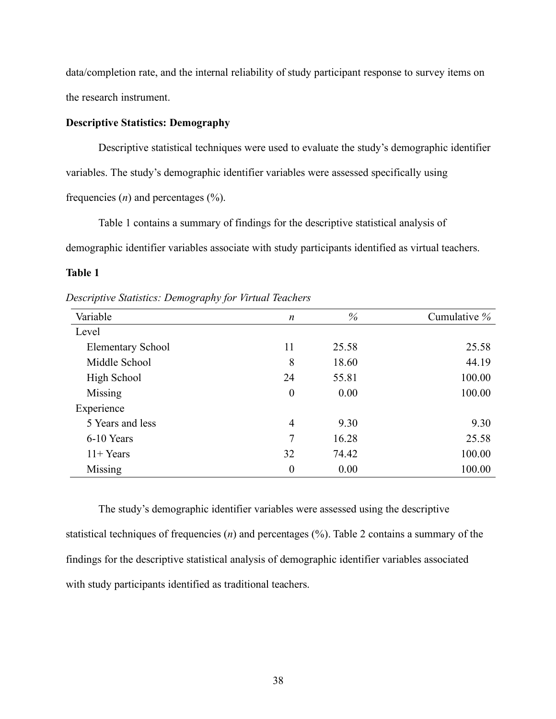data/completion rate, and the internal reliability of study participant response to survey items on the research instrument.

### **Descriptive Statistics: Demography**

Descriptive statistical techniques were used to evaluate the study's demographic identifier variables. The study's demographic identifier variables were assessed specifically using frequencies  $(n)$  and percentages  $(\frac{6}{6})$ .

Table 1 contains a summary of findings for the descriptive statistical analysis of demographic identifier variables associate with study participants identified as virtual teachers.

# **Table 1**

*Descriptive Statistics: Demography for Virtual Teachers*

| Variable                 | n              | $\%$  | Cumulative % |
|--------------------------|----------------|-------|--------------|
| Level                    |                |       |              |
| <b>Elementary School</b> | 11             | 25.58 | 25.58        |
| Middle School            | 8              | 18.60 | 44.19        |
| High School              | 24             | 55.81 | 100.00       |
| Missing                  | $\overline{0}$ | 0.00  | 100.00       |
| Experience               |                |       |              |
| 5 Years and less         | $\overline{4}$ | 9.30  | 9.30         |
| 6-10 Years               | 7              | 16.28 | 25.58        |
| $11 + Years$             | 32             | 74.42 | 100.00       |
| Missing                  | $\theta$       | 0.00  | 100.00       |

The study's demographic identifier variables were assessed using the descriptive statistical techniques of frequencies (*n*) and percentages (%). Table 2 contains a summary of the findings for the descriptive statistical analysis of demographic identifier variables associated with study participants identified as traditional teachers.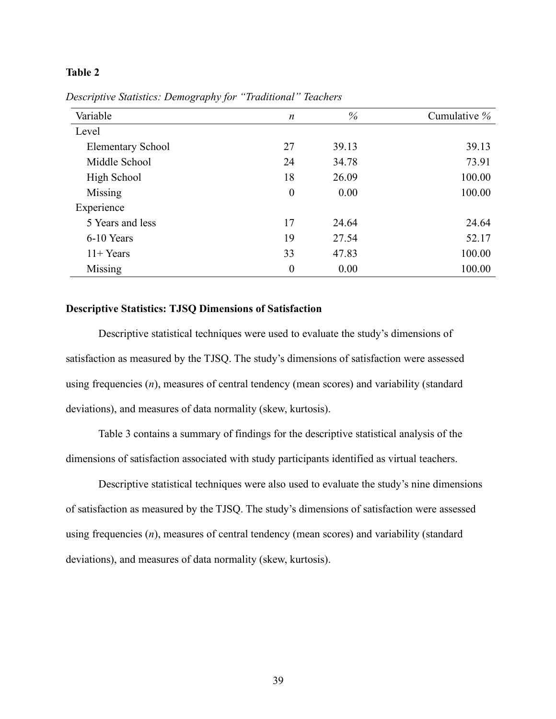# **Table 2**

| Variable                 | $\boldsymbol{n}$ | $\%$  | Cumulative % |
|--------------------------|------------------|-------|--------------|
| Level                    |                  |       |              |
| <b>Elementary School</b> | 27               | 39.13 | 39.13        |
| Middle School            | 24               | 34.78 | 73.91        |
| High School              | 18               | 26.09 | 100.00       |
| Missing                  | $\boldsymbol{0}$ | 0.00  | 100.00       |
| Experience               |                  |       |              |
| 5 Years and less         | 17               | 24.64 | 24.64        |
| 6-10 Years               | 19               | 27.54 | 52.17        |
| $11 + Years$             | 33               | 47.83 | 100.00       |
| Missing                  | $\boldsymbol{0}$ | 0.00  | 100.00       |

*Descriptive Statistics: Demography for "Traditional" Teachers*

# **Descriptive Statistics: TJSQ Dimensions of Satisfaction**

Descriptive statistical techniques were used to evaluate the study's dimensions of satisfaction as measured by the TJSQ. The study's dimensions of satisfaction were assessed using frequencies (*n*), measures of central tendency (mean scores) and variability (standard deviations), and measures of data normality (skew, kurtosis).

Table 3 contains a summary of findings for the descriptive statistical analysis of the dimensions of satisfaction associated with study participants identified as virtual teachers.

Descriptive statistical techniques were also used to evaluate the study's nine dimensions of satisfaction as measured by the TJSQ. The study's dimensions of satisfaction were assessed using frequencies (*n*), measures of central tendency (mean scores) and variability (standard deviations), and measures of data normality (skew, kurtosis).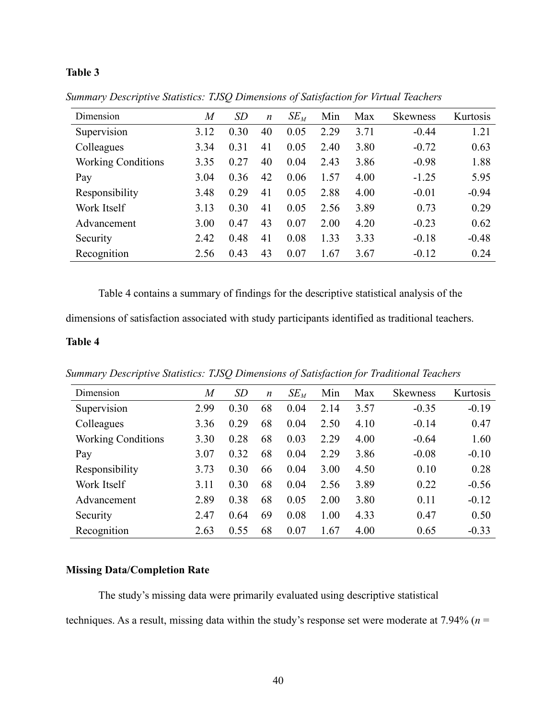# **Table 3**

| Dimension                 | $\overline{M}$ | SD   | $\boldsymbol{n}$ | $SE_M$ | Min  | Max  | <b>Skewness</b> | Kurtosis |
|---------------------------|----------------|------|------------------|--------|------|------|-----------------|----------|
| Supervision               | 3.12           | 0.30 | 40               | 0.05   | 2.29 | 3.71 | $-0.44$         | 1.21     |
| Colleagues                | 3.34           | 0.31 | 41               | 0.05   | 2.40 | 3.80 | $-0.72$         | 0.63     |
| <b>Working Conditions</b> | 3.35           | 0.27 | 40               | 0.04   | 2.43 | 3.86 | $-0.98$         | 1.88     |
| Pay                       | 3.04           | 0.36 | 42               | 0.06   | 1.57 | 4.00 | $-1.25$         | 5.95     |
| Responsibility            | 3.48           | 0.29 | 41               | 0.05   | 2.88 | 4.00 | $-0.01$         | $-0.94$  |
| Work Itself               | 3.13           | 0.30 | 41               | 0.05   | 2.56 | 3.89 | 0.73            | 0.29     |
| Advancement               | 3.00           | 0.47 | 43               | 0.07   | 2.00 | 4.20 | $-0.23$         | 0.62     |
| Security                  | 2.42           | 0.48 | 41               | 0.08   | 1.33 | 3.33 | $-0.18$         | $-0.48$  |
| Recognition               | 2.56           | 0.43 | 43               | 0.07   | 1.67 | 3.67 | $-0.12$         | 0.24     |

*Summary Descriptive Statistics: TJSQ Dimensions of Satisfaction for Virtual Teachers*

Table 4 contains a summary of findings for the descriptive statistical analysis of the

dimensions of satisfaction associated with study participants identified as traditional teachers.

### **Table 4**

*Summary Descriptive Statistics: TJSQ Dimensions of Satisfaction for Traditional Teachers*

| $\it{M}$ | SD   | $\boldsymbol{n}$ | $SE_M$ | Min  | Max  | <b>Skewness</b> | Kurtosis |
|----------|------|------------------|--------|------|------|-----------------|----------|
| 2.99     | 0.30 | 68               | 0.04   | 2.14 | 3.57 | $-0.35$         | $-0.19$  |
| 3.36     | 0.29 | 68               | 0.04   | 2.50 | 4.10 | $-0.14$         | 0.47     |
| 3.30     | 0.28 | 68               | 0.03   | 2.29 | 4.00 | $-0.64$         | 1.60     |
| 3.07     | 0.32 | 68               | 0.04   | 2.29 | 3.86 | $-0.08$         | $-0.10$  |
| 3.73     | 0.30 | 66               | 0.04   | 3.00 | 4.50 | 0.10            | 0.28     |
| 3.11     | 0.30 | 68               | 0.04   | 2.56 | 3.89 | 0.22            | $-0.56$  |
| 2.89     | 0.38 | 68               | 0.05   | 2.00 | 3.80 | 0.11            | $-0.12$  |
| 2.47     | 0.64 | 69               | 0.08   | 1.00 | 4.33 | 0.47            | 0.50     |
| 2.63     | 0.55 | 68               | 0.07   | 1.67 | 4.00 | 0.65            | $-0.33$  |
|          |      |                  |        |      |      |                 |          |

# **Missing Data/Completion Rate**

The study's missing data were primarily evaluated using descriptive statistical

techniques. As a result, missing data within the study's response set were moderate at 7.94% (*n* =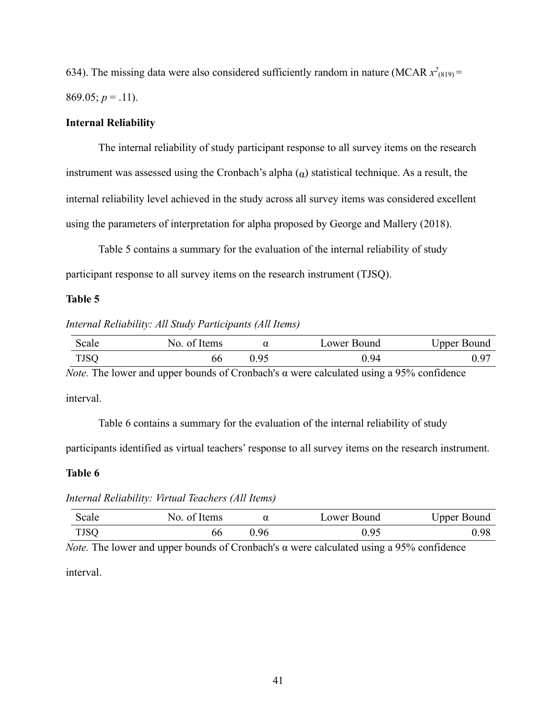634). The missing data were also considered sufficiently random in nature (MCAR  $x^2_{(819)}$  = 869.05;  $p = .11$ ).

### **Internal Reliability**

The internal reliability of study participant response to all survey items on the research instrument was assessed using the Cronbach's alpha  $\alpha$ ) statistical technique. As a result, the internal reliability level achieved in the study across all survey items was considered excellent using the parameters of interpretation for alpha proposed by George and Mallery (2018).

Table 5 contains a summary for the evaluation of the internal reliability of study participant response to all survey items on the research instrument (TJSQ).

### **Table 5**

*Internal Reliability: All Study Participants (All Items)*

| scale | No. of Items |             | Lower Bound | Upper Bound |
|-------|--------------|-------------|-------------|-------------|
| TJSQ  | nt           | $Q \subset$ | 94          | −0، .       |

*Note.* The lower and upper bounds of Cronbach's α were calculated using a 95% confidence interval.

Table 6 contains a summary for the evaluation of the internal reliability of study

participants identified as virtual teachers' response to all survey items on the research instrument.

### **Table 6**

*Internal Reliability: Virtual Teachers (All Items)*

| Scale | of Items<br>NO. |      | Lower Bound | <b>Upper Bound</b> |
|-------|-----------------|------|-------------|--------------------|
| TJSQ  | bb              | 0.96 | ነ ዐና        | 0.98               |

*Note.* The lower and upper bounds of Cronbach's α were calculated using a 95% confidence interval.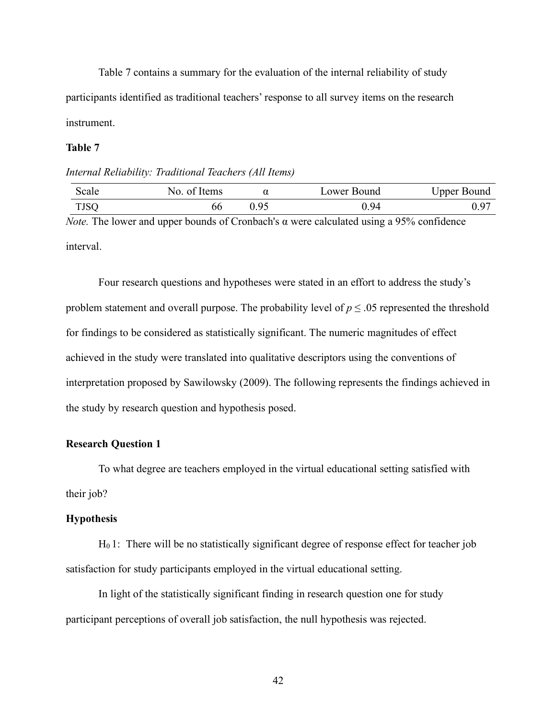Table 7 contains a summary for the evaluation of the internal reliability of study participants identified as traditional teachers' response to all survey items on the research instrument.

### **Table 7**

### *Internal Reliability: Traditional Teachers (All Items)*

| Scale       | of Items<br>NO. |      | Lower Bound | Upper Bound |
|-------------|-----------------|------|-------------|-------------|
| <b>TJSQ</b> | 00              | 0.95 | 0.94        | 0.97        |

*Note.* The lower and upper bounds of Cronbach's α were calculated using a 95% confidence interval.

Four research questions and hypotheses were stated in an effort to address the study's problem statement and overall purpose. The probability level of  $p \leq 0.05$  represented the threshold for findings to be considered as statistically significant. The numeric magnitudes of effect achieved in the study were translated into qualitative descriptors using the conventions of interpretation proposed by Sawilowsky (2009). The following represents the findings achieved in the study by research question and hypothesis posed.

### **Research Question 1**

To what degree are teachers employed in the virtual educational setting satisfied with their job?

### **Hypothesis**

H0 1:There will be no statistically significant degree of response effect for teacher job satisfaction for study participants employed in the virtual educational setting.

In light of the statistically significant finding in research question one for study participant perceptions of overall job satisfaction, the null hypothesis was rejected.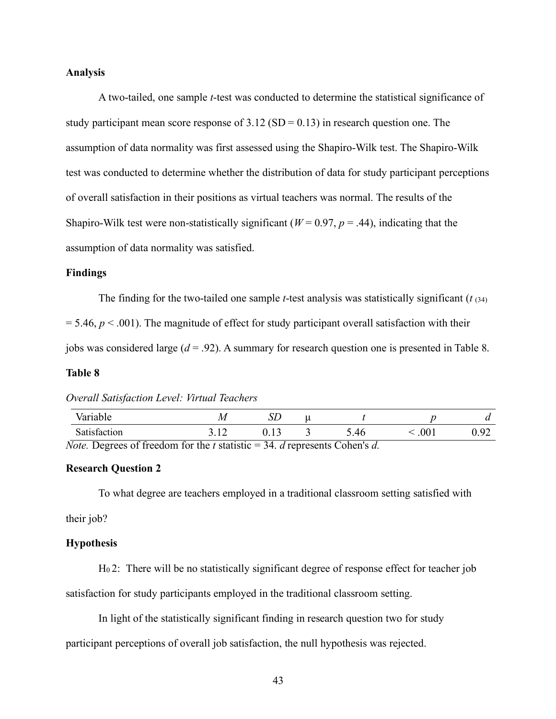### **Analysis**

A two-tailed, one sample *t*-test was conducted to determine the statistical significance of study participant mean score response of  $3.12$  (SD = 0.13) in research question one. The assumption of data normality was first assessed using the Shapiro-Wilk test. The Shapiro-Wilk test was conducted to determine whether the distribution of data for study participant perceptions of overall satisfaction in their positions as virtual teachers was normal. The results of the Shapiro-Wilk test were non-statistically significant ( $W = 0.97$ ,  $p = .44$ ), indicating that the assumption of data normality was satisfied.

### **Findings**

The finding for the two-tailed one sample *t*-test analysis was statistically significant (*t* (34)  $= 5.46, p < .001$ ). The magnitude of effect for study participant overall satisfaction with their jobs was considered large (*d* = .92). A summary for research question one is presented in Table 8.

### **Table 8**

#### *Overall Satisfaction Level: Virtual Teachers*

| Variable                                                                     | IJΓ |                |                 |        |      |
|------------------------------------------------------------------------------|-----|----------------|-----------------|--------|------|
| Satisfaction                                                                 |     |                | .46             | $00\,$ | 0.92 |
| $N \alpha t \alpha$<br>$\Omega$ arreas of freedom for the t statistic $= 34$ |     | d represents L | $Cohen \circ d$ |        |      |

*Note.* Degrees of freedom for the *t* statistic = 34. *d* represents Cohen's *d.*

### **Research Question 2**

To what degree are teachers employed in a traditional classroom setting satisfied with

their job?

#### **Hypothesis**

H0 2: There will be no statistically significant degree of response effect for teacher job satisfaction for study participants employed in the traditional classroom setting.

In light of the statistically significant finding in research question two for study

participant perceptions of overall job satisfaction, the null hypothesis was rejected.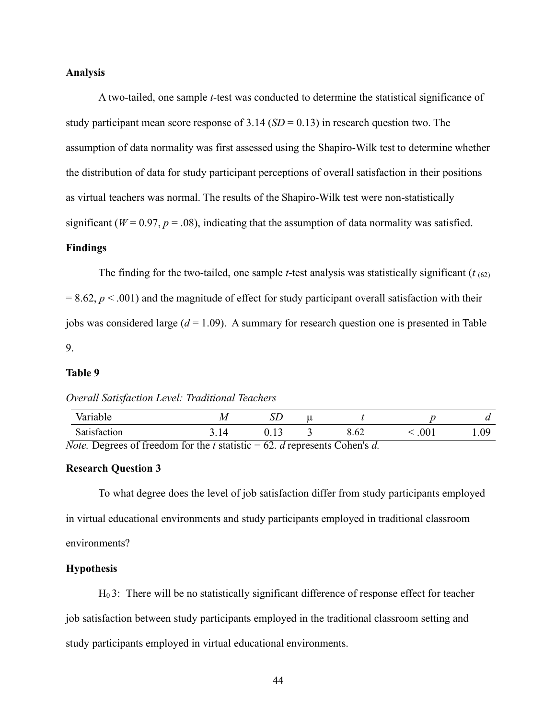### **Analysis**

A two-tailed, one sample *t*-test was conducted to determine the statistical significance of study participant mean score response of  $3.14$  (*SD* = 0.13) in research question two. The assumption of data normality was first assessed using the Shapiro-Wilk test to determine whether the distribution of data for study participant perceptions of overall satisfaction in their positions as virtual teachers was normal. The results of the Shapiro-Wilk test were non-statistically significant ( $W = 0.97$ ,  $p = .08$ ), indicating that the assumption of data normality was satisfied.

# **Findings**

The finding for the two-tailed, one sample *t*-test analysis was statistically significant ( $t_{(62)}$ )  $= 8.62, p \lt 0.001$  and the magnitude of effect for study participant overall satisfaction with their jobs was considered large (*d* = 1.09). A summary for research question one is presented in Table 9.

### **Table 9**

### *Overall Satisfaction Level: Traditional Teachers*

| Variable                                            |  |                       |     |    |
|-----------------------------------------------------|--|-----------------------|-----|----|
| Satisfaction                                        |  |                       | 001 | ΛQ |
| $Note Dagrange of freedom for the t statistic = 62$ |  | droproganta Cahan'a d |     |    |

*Note.* Degrees of freedom for the *t* statistic = 62. *d* represents Cohen's *d.*

### **Research Question 3**

To what degree does the level of job satisfaction differ from study participants employed in virtual educational environments and study participants employed in traditional classroom environments?

# **Hypothesis**

H0 3: There will be no statistically significant difference of response effect for teacher job satisfaction between study participants employed in the traditional classroom setting and study participants employed in virtual educational environments.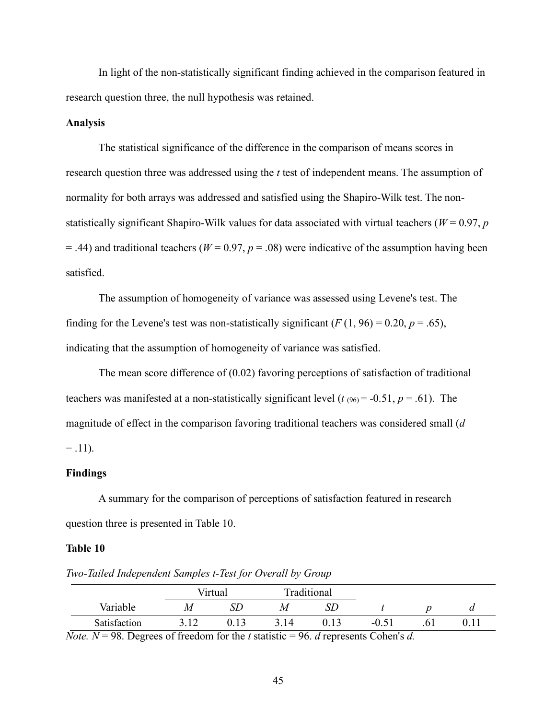In light of the non-statistically significant finding achieved in the comparison featured in research question three, the null hypothesis was retained.

# **Analysis**

The statistical significance of the difference in the comparison of means scores in research question three was addressed using the *t* test of independent means. The assumption of normality for both arrays was addressed and satisfied using the Shapiro-Wilk test. The nonstatistically significant Shapiro-Wilk values for data associated with virtual teachers ( $W = 0.97$ , *p*  $=$  .44) and traditional teachers ( $W = 0.97$ ,  $p = .08$ ) were indicative of the assumption having been satisfied.

The assumption of homogeneity of variance was assessed using Levene's test. The finding for the Levene's test was non-statistically significant  $(F(1, 96) = 0.20, p = .65)$ , indicating that the assumption of homogeneity of variance was satisfied.

The mean score difference of (0.02) favoring perceptions of satisfaction of traditional teachers was manifested at a non-statistically significant level  $(t_{.060} = -0.51, p = .61)$ . The magnitude of effect in the comparison favoring traditional teachers was considered small (*d*  $= .11$ ).

### **Findings**

A summary for the comparison of perceptions of satisfaction featured in research question three is presented in Table 10.

#### **Table 10**

Virtual Traditional Variable *M SD M SD t p d* Satisfaction 3.12 0.13 3.14 0.13 -0.51 .61 0.11

*Two-Tailed Independent Samples t-Test for Overall by Group*

*Note.*  $N = 98$ . Degrees of freedom for the *t* statistic = 96. *d* represents Cohen's *d*.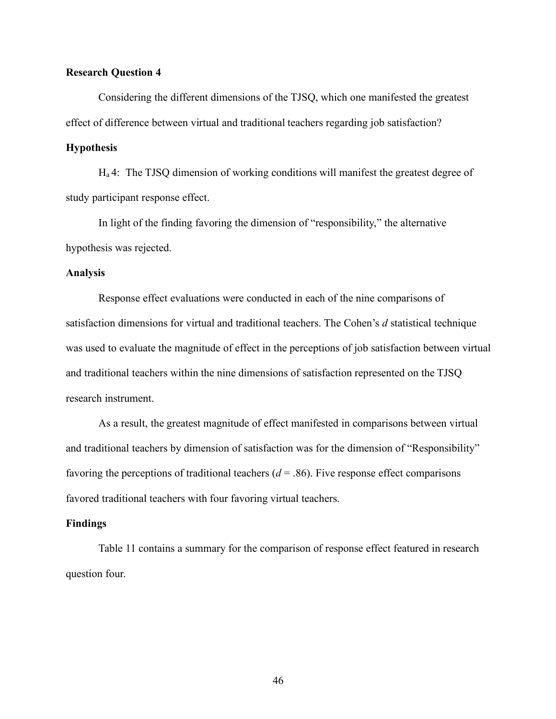### **Research Question 4**

Considering the different dimensions of the TJSQ, which one manifested the greatest effect of difference between virtual and traditional teachers regarding job satisfaction?

### **Hypothesis**

Ha 4: The TJSQ dimension of working conditions will manifest the greatest degree of study participant response effect.

In light of the finding favoring the dimension of "responsibility," the alternative hypothesis was rejected.

#### **Analysis**

Response effect evaluations were conducted in each of the nine comparisons of satisfaction dimensions for virtual and traditional teachers. The Cohen's *d* statistical technique was used to evaluate the magnitude of effect in the perceptions of job satisfaction between virtual and traditional teachers within the nine dimensions of satisfaction represented on the TJSQ research instrument.

As a result, the greatest magnitude of effect manifested in comparisons between virtual and traditional teachers by dimension of satisfaction was for the dimension of "Responsibility" favoring the perceptions of traditional teachers  $(d = .86)$ . Five response effect comparisons favored traditional teachers with four favoring virtual teachers.

### **Findings**

Table 11 contains a summary for the comparison of response effect featured in research question four.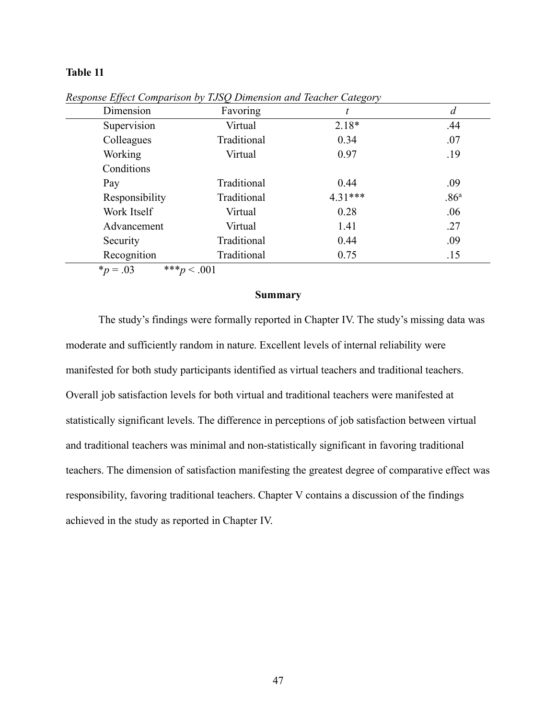# **Table 11**

| $JJ -$<br>Dimension | Favoring    | $\circ$<br>t | d                |
|---------------------|-------------|--------------|------------------|
| Supervision         | Virtual     | $2.18*$      | .44              |
| Colleagues          | Traditional | 0.34         | .07              |
| Working             | Virtual     | 0.97         | .19              |
| Conditions          |             |              |                  |
| Pay                 | Traditional | 0.44         | .09              |
| Responsibility      | Traditional | $4.31***$    | .86 <sup>a</sup> |
| Work Itself         | Virtual     | 0.28         | .06              |
| Advancement         | Virtual     | 1.41         | .27              |
| Security            | Traditional | 0.44         | .09              |
| Recognition         | Traditional | 0.75         | .15              |

*Response Effect Comparison by TJSQ Dimension and Teacher Category*

 $*_{p} = .03$  \*\*\* $p < .001$ 

### **Summary**

The study's findings were formally reported in Chapter IV. The study's missing data was moderate and sufficiently random in nature. Excellent levels of internal reliability were manifested for both study participants identified as virtual teachers and traditional teachers. Overall job satisfaction levels for both virtual and traditional teachers were manifested at statistically significant levels. The difference in perceptions of job satisfaction between virtual and traditional teachers was minimal and non-statistically significant in favoring traditional teachers. The dimension of satisfaction manifesting the greatest degree of comparative effect was responsibility, favoring traditional teachers. Chapter V contains a discussion of the findings achieved in the study as reported in Chapter IV.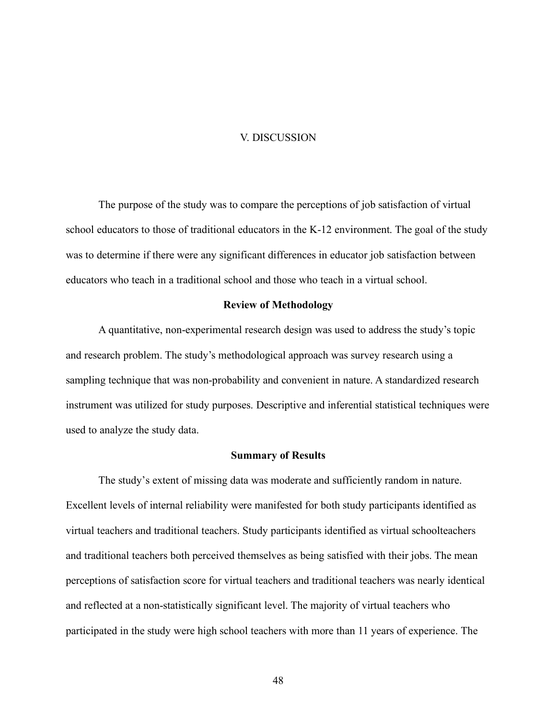#### V. DISCUSSION

The purpose of the study was to compare the perceptions of job satisfaction of virtual school educators to those of traditional educators in the K-12 environment. The goal of the study was to determine if there were any significant differences in educator job satisfaction between educators who teach in a traditional school and those who teach in a virtual school.

### **Review of Methodology**

A quantitative, non-experimental research design was used to address the study's topic and research problem. The study's methodological approach was survey research using a sampling technique that was non-probability and convenient in nature. A standardized research instrument was utilized for study purposes. Descriptive and inferential statistical techniques were used to analyze the study data.

#### **Summary of Results**

The study's extent of missing data was moderate and sufficiently random in nature. Excellent levels of internal reliability were manifested for both study participants identified as virtual teachers and traditional teachers. Study participants identified as virtual schoolteachers and traditional teachers both perceived themselves as being satisfied with their jobs. The mean perceptions of satisfaction score for virtual teachers and traditional teachers was nearly identical and reflected at a non-statistically significant level. The majority of virtual teachers who participated in the study were high school teachers with more than 11 years of experience. The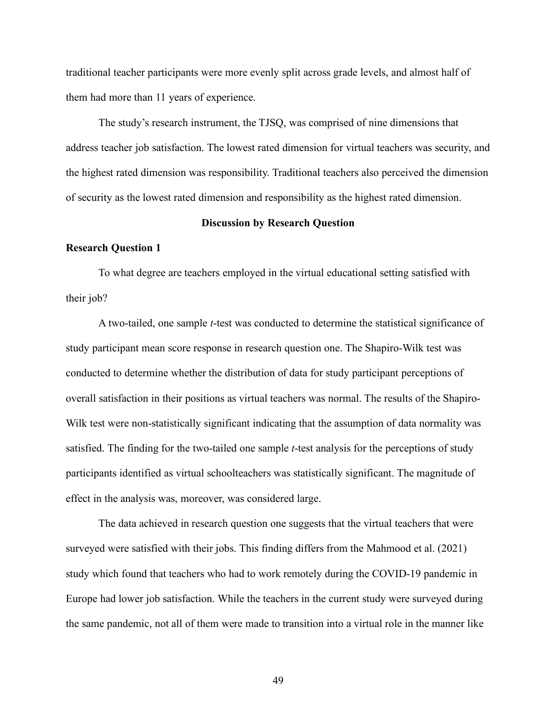traditional teacher participants were more evenly split across grade levels, and almost half of them had more than 11 years of experience.

The study's research instrument, the TJSQ, was comprised of nine dimensions that address teacher job satisfaction. The lowest rated dimension for virtual teachers was security, and the highest rated dimension was responsibility. Traditional teachers also perceived the dimension of security as the lowest rated dimension and responsibility as the highest rated dimension.

### **Discussion by Research Question**

### **Research Question 1**

To what degree are teachers employed in the virtual educational setting satisfied with their job?

A two-tailed, one sample *t*-test was conducted to determine the statistical significance of study participant mean score response in research question one. The Shapiro-Wilk test was conducted to determine whether the distribution of data for study participant perceptions of overall satisfaction in their positions as virtual teachers was normal. The results of the Shapiro-Wilk test were non-statistically significant indicating that the assumption of data normality was satisfied. The finding for the two-tailed one sample *t*-test analysis for the perceptions of study participants identified as virtual schoolteachers was statistically significant. The magnitude of effect in the analysis was, moreover, was considered large.

The data achieved in research question one suggests that the virtual teachers that were surveyed were satisfied with their jobs. This finding differs from the Mahmood et al. (2021) study which found that teachers who had to work remotely during the COVID-19 pandemic in Europe had lower job satisfaction. While the teachers in the current study were surveyed during the same pandemic, not all of them were made to transition into a virtual role in the manner like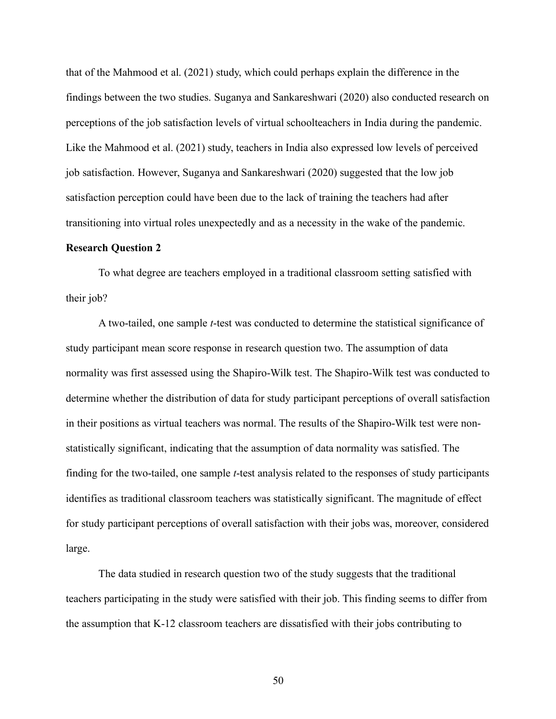that of the Mahmood et al. (2021) study, which could perhaps explain the difference in the findings between the two studies. Suganya and Sankareshwari (2020) also conducted research on perceptions of the job satisfaction levels of virtual schoolteachers in India during the pandemic. Like the Mahmood et al. (2021) study, teachers in India also expressed low levels of perceived job satisfaction. However, Suganya and Sankareshwari (2020) suggested that the low job satisfaction perception could have been due to the lack of training the teachers had after transitioning into virtual roles unexpectedly and as a necessity in the wake of the pandemic.

### **Research Question 2**

To what degree are teachers employed in a traditional classroom setting satisfied with their job?

A two-tailed, one sample *t*-test was conducted to determine the statistical significance of study participant mean score response in research question two. The assumption of data normality was first assessed using the Shapiro-Wilk test. The Shapiro-Wilk test was conducted to determine whether the distribution of data for study participant perceptions of overall satisfaction in their positions as virtual teachers was normal. The results of the Shapiro-Wilk test were nonstatistically significant, indicating that the assumption of data normality was satisfied. The finding for the two-tailed, one sample *t*-test analysis related to the responses of study participants identifies as traditional classroom teachers was statistically significant. The magnitude of effect for study participant perceptions of overall satisfaction with their jobs was, moreover, considered large.

The data studied in research question two of the study suggests that the traditional teachers participating in the study were satisfied with their job. This finding seems to differ from the assumption that K-12 classroom teachers are dissatisfied with their jobs contributing to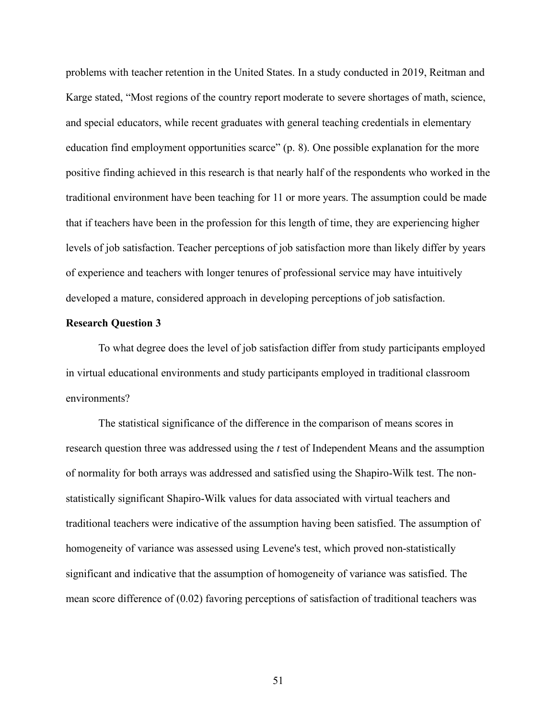problems with teacher retention in the United States. In a study conducted in 2019, Reitman and Karge stated, "Most regions of the country report moderate to severe shortages of math, science, and special educators, while recent graduates with general teaching credentials in elementary education find employment opportunities scarce" (p. 8). One possible explanation for the more positive finding achieved in this research is that nearly half of the respondents who worked in the traditional environment have been teaching for 11 or more years. The assumption could be made that if teachers have been in the profession for this length of time, they are experiencing higher levels of job satisfaction. Teacher perceptions of job satisfaction more than likely differ by years of experience and teachers with longer tenures of professional service may have intuitively developed a mature, considered approach in developing perceptions of job satisfaction.

#### **Research Question 3**

To what degree does the level of job satisfaction differ from study participants employed in virtual educational environments and study participants employed in traditional classroom environments?

The statistical significance of the difference in the comparison of means scores in research question three was addressed using the *t* test of Independent Means and the assumption of normality for both arrays was addressed and satisfied using the Shapiro-Wilk test. The nonstatistically significant Shapiro-Wilk values for data associated with virtual teachers and traditional teachers were indicative of the assumption having been satisfied. The assumption of homogeneity of variance was assessed using Levene's test, which proved non-statistically significant and indicative that the assumption of homogeneity of variance was satisfied. The mean score difference of (0.02) favoring perceptions of satisfaction of traditional teachers was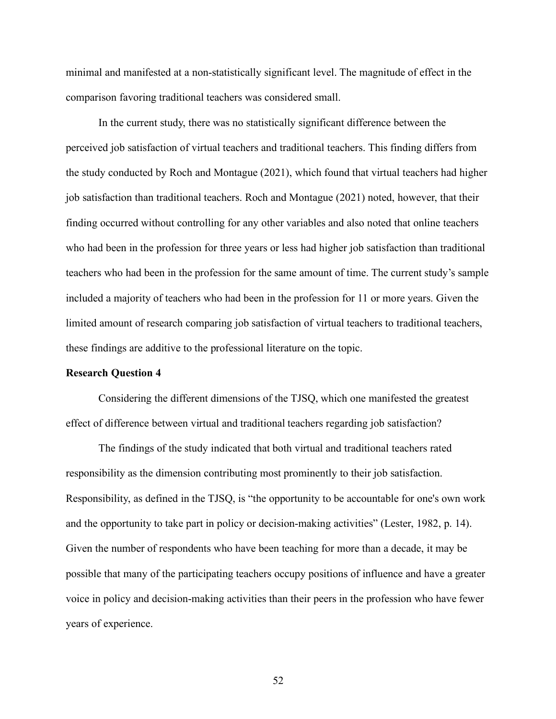minimal and manifested at a non-statistically significant level. The magnitude of effect in the comparison favoring traditional teachers was considered small.

In the current study, there was no statistically significant difference between the perceived job satisfaction of virtual teachers and traditional teachers. This finding differs from the study conducted by Roch and Montague (2021), which found that virtual teachers had higher job satisfaction than traditional teachers. Roch and Montague (2021) noted, however, that their finding occurred without controlling for any other variables and also noted that online teachers who had been in the profession for three years or less had higher job satisfaction than traditional teachers who had been in the profession for the same amount of time. The current study's sample included a majority of teachers who had been in the profession for 11 or more years. Given the limited amount of research comparing job satisfaction of virtual teachers to traditional teachers, these findings are additive to the professional literature on the topic.

### **Research Question 4**

Considering the different dimensions of the TJSQ, which one manifested the greatest effect of difference between virtual and traditional teachers regarding job satisfaction?

The findings of the study indicated that both virtual and traditional teachers rated responsibility as the dimension contributing most prominently to their job satisfaction. Responsibility, as defined in the TJSQ, is "the opportunity to be accountable for one's own work and the opportunity to take part in policy or decision-making activities" (Lester, 1982, p. 14). Given the number of respondents who have been teaching for more than a decade, it may be possible that many of the participating teachers occupy positions of influence and have a greater voice in policy and decision-making activities than their peers in the profession who have fewer years of experience.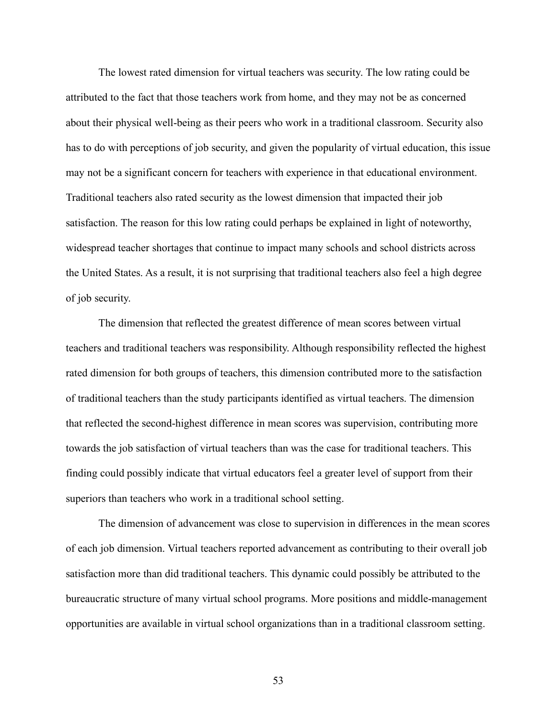The lowest rated dimension for virtual teachers was security. The low rating could be attributed to the fact that those teachers work from home, and they may not be as concerned about their physical well-being as their peers who work in a traditional classroom. Security also has to do with perceptions of job security, and given the popularity of virtual education, this issue may not be a significant concern for teachers with experience in that educational environment. Traditional teachers also rated security as the lowest dimension that impacted their job satisfaction. The reason for this low rating could perhaps be explained in light of noteworthy, widespread teacher shortages that continue to impact many schools and school districts across the United States. As a result, it is not surprising that traditional teachers also feel a high degree of job security.

The dimension that reflected the greatest difference of mean scores between virtual teachers and traditional teachers was responsibility. Although responsibility reflected the highest rated dimension for both groups of teachers, this dimension contributed more to the satisfaction of traditional teachers than the study participants identified as virtual teachers. The dimension that reflected the second-highest difference in mean scores was supervision, contributing more towards the job satisfaction of virtual teachers than was the case for traditional teachers. This finding could possibly indicate that virtual educators feel a greater level of support from their superiors than teachers who work in a traditional school setting.

The dimension of advancement was close to supervision in differences in the mean scores of each job dimension. Virtual teachers reported advancement as contributing to their overall job satisfaction more than did traditional teachers. This dynamic could possibly be attributed to the bureaucratic structure of many virtual school programs. More positions and middle-management opportunities are available in virtual school organizations than in a traditional classroom setting.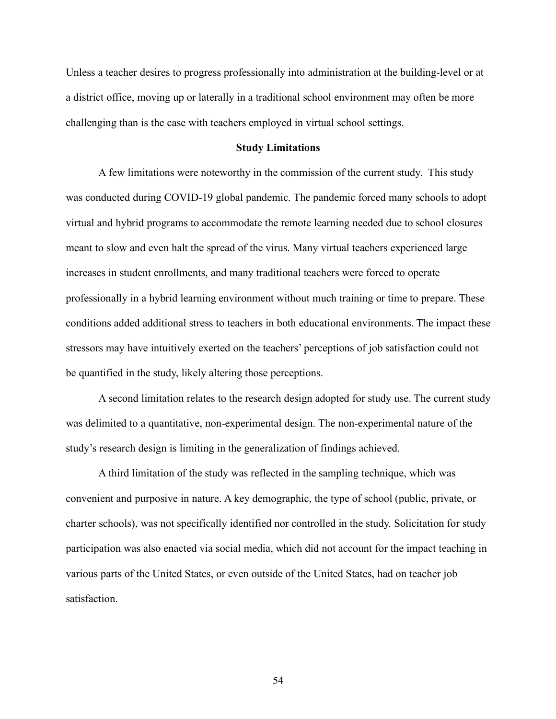Unless a teacher desires to progress professionally into administration at the building-level or at a district office, moving up or laterally in a traditional school environment may often be more challenging than is the case with teachers employed in virtual school settings.

### **Study Limitations**

A few limitations were noteworthy in the commission of the current study. This study was conducted during COVID-19 global pandemic. The pandemic forced many schools to adopt virtual and hybrid programs to accommodate the remote learning needed due to school closures meant to slow and even halt the spread of the virus. Many virtual teachers experienced large increases in student enrollments, and many traditional teachers were forced to operate professionally in a hybrid learning environment without much training or time to prepare. These conditions added additional stress to teachers in both educational environments. The impact these stressors may have intuitively exerted on the teachers' perceptions of job satisfaction could not be quantified in the study, likely altering those perceptions.

A second limitation relates to the research design adopted for study use. The current study was delimited to a quantitative, non-experimental design. The non-experimental nature of the study's research design is limiting in the generalization of findings achieved.

A third limitation of the study was reflected in the sampling technique, which was convenient and purposive in nature. A key demographic, the type of school (public, private, or charter schools), was not specifically identified nor controlled in the study. Solicitation for study participation was also enacted via social media, which did not account for the impact teaching in various parts of the United States, or even outside of the United States, had on teacher job satisfaction.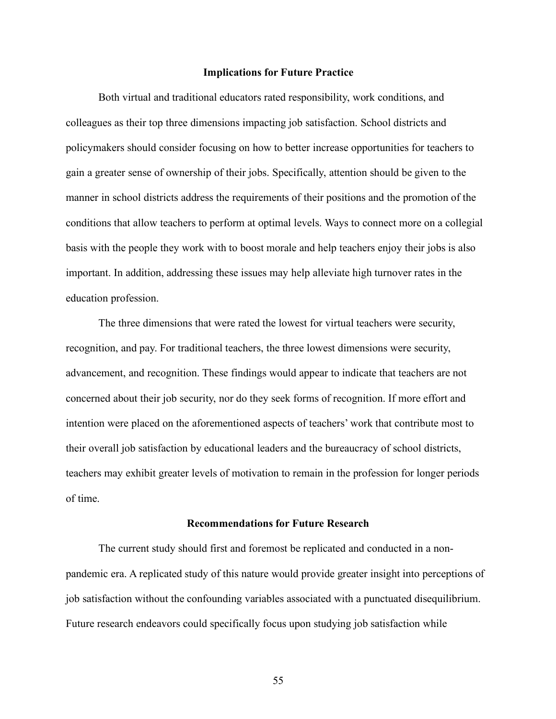### **Implications for Future Practice**

Both virtual and traditional educators rated responsibility, work conditions, and colleagues as their top three dimensions impacting job satisfaction. School districts and policymakers should consider focusing on how to better increase opportunities for teachers to gain a greater sense of ownership of their jobs. Specifically, attention should be given to the manner in school districts address the requirements of their positions and the promotion of the conditions that allow teachers to perform at optimal levels. Ways to connect more on a collegial basis with the people they work with to boost morale and help teachers enjoy their jobs is also important. In addition, addressing these issues may help alleviate high turnover rates in the education profession.

The three dimensions that were rated the lowest for virtual teachers were security, recognition, and pay. For traditional teachers, the three lowest dimensions were security, advancement, and recognition. These findings would appear to indicate that teachers are not concerned about their job security, nor do they seek forms of recognition. If more effort and intention were placed on the aforementioned aspects of teachers' work that contribute most to their overall job satisfaction by educational leaders and the bureaucracy of school districts, teachers may exhibit greater levels of motivation to remain in the profession for longer periods of time.

### **Recommendations for Future Research**

The current study should first and foremost be replicated and conducted in a nonpandemic era. A replicated study of this nature would provide greater insight into perceptions of job satisfaction without the confounding variables associated with a punctuated disequilibrium. Future research endeavors could specifically focus upon studying job satisfaction while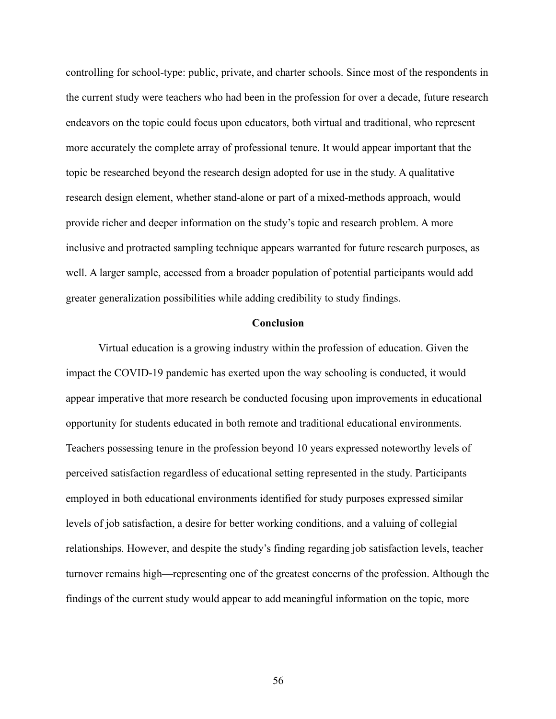controlling for school-type: public, private, and charter schools. Since most of the respondents in the current study were teachers who had been in the profession for over a decade, future research endeavors on the topic could focus upon educators, both virtual and traditional, who represent more accurately the complete array of professional tenure. It would appear important that the topic be researched beyond the research design adopted for use in the study. A qualitative research design element, whether stand-alone or part of a mixed-methods approach, would provide richer and deeper information on the study's topic and research problem. A more inclusive and protracted sampling technique appears warranted for future research purposes, as well. A larger sample, accessed from a broader population of potential participants would add greater generalization possibilities while adding credibility to study findings.

### **Conclusion**

Virtual education is a growing industry within the profession of education. Given the impact the COVID-19 pandemic has exerted upon the way schooling is conducted, it would appear imperative that more research be conducted focusing upon improvements in educational opportunity for students educated in both remote and traditional educational environments. Teachers possessing tenure in the profession beyond 10 years expressed noteworthy levels of perceived satisfaction regardless of educational setting represented in the study. Participants employed in both educational environments identified for study purposes expressed similar levels of job satisfaction, a desire for better working conditions, and a valuing of collegial relationships. However, and despite the study's finding regarding job satisfaction levels, teacher turnover remains high—representing one of the greatest concerns of the profession. Although the findings of the current study would appear to add meaningful information on the topic, more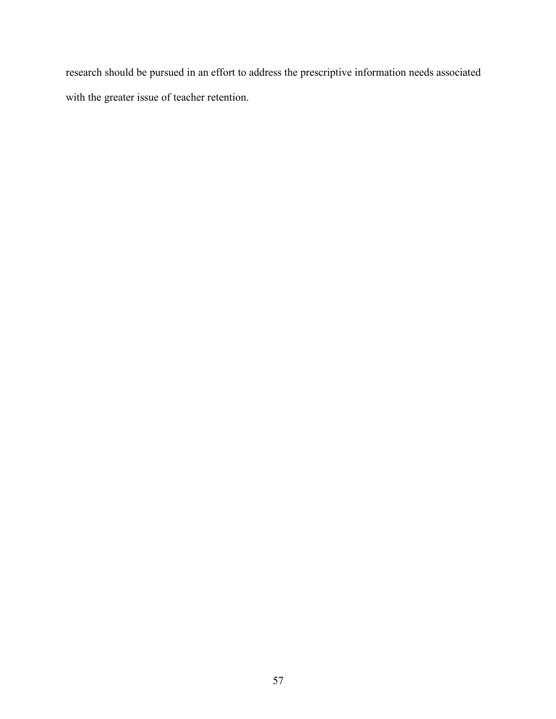research should be pursued in an effort to address the prescriptive information needs associated with the greater issue of teacher retention.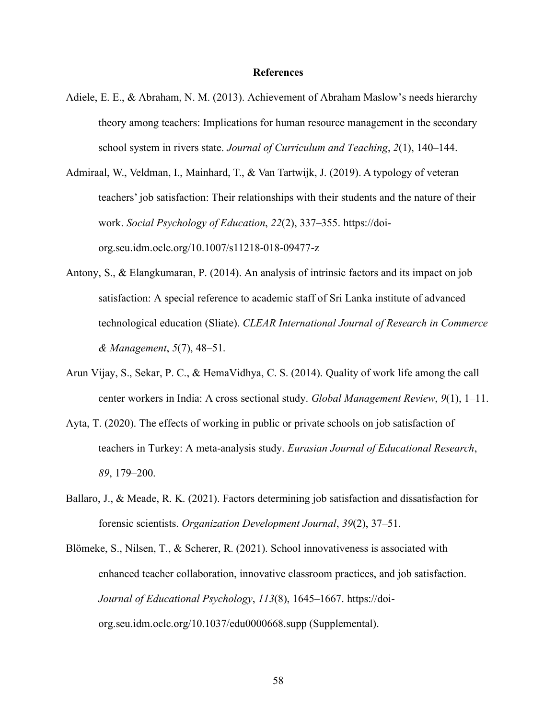#### **References**

- Adiele, E. E., & Abraham, N. M. (2013). Achievement of Abraham Maslow's needs hierarchy theory among teachers: Implications for human resource management in the secondary school system in rivers state. *Journal of Curriculum and Teaching*, *2*(1), 140–144.
- Admiraal, W., Veldman, I., Mainhard, T., & Van Tartwijk, J. (2019). A typology of veteran teachers' job satisfaction: Their relationships with their students and the nature of their work. *Social Psychology of Education*, *22*(2), 337–355. https://doiorg.seu.idm.oclc.org/10.1007/s11218-018-09477-z
- Antony, S., & Elangkumaran, P. (2014). An analysis of intrinsic factors and its impact on job satisfaction: A special reference to academic staff of Sri Lanka institute of advanced technological education (Sliate). *CLEAR International Journal of Research in Commerce & Management*, *5*(7), 48–51.
- Arun Vijay, S., Sekar, P. C., & HemaVidhya, C. S. (2014). Quality of work life among the call center workers in India: A cross sectional study. *Global Management Review*, *9*(1), 1–11.
- Ayta, T. (2020). The effects of working in public or private schools on job satisfaction of teachers in Turkey: A meta-analysis study. *Eurasian Journal of Educational Research*, *89*, 179–200.
- Ballaro, J., & Meade, R. K. (2021). Factors determining job satisfaction and dissatisfaction for forensic scientists. *Organization Development Journal*, *39*(2), 37–51.
- Blömeke, S., Nilsen, T., & Scherer, R. (2021). School innovativeness is associated with enhanced teacher collaboration, innovative classroom practices, and job satisfaction. *Journal of Educational Psychology*, *113*(8), 1645–1667. https://doiorg.seu.idm.oclc.org/10.1037/edu0000668.supp (Supplemental).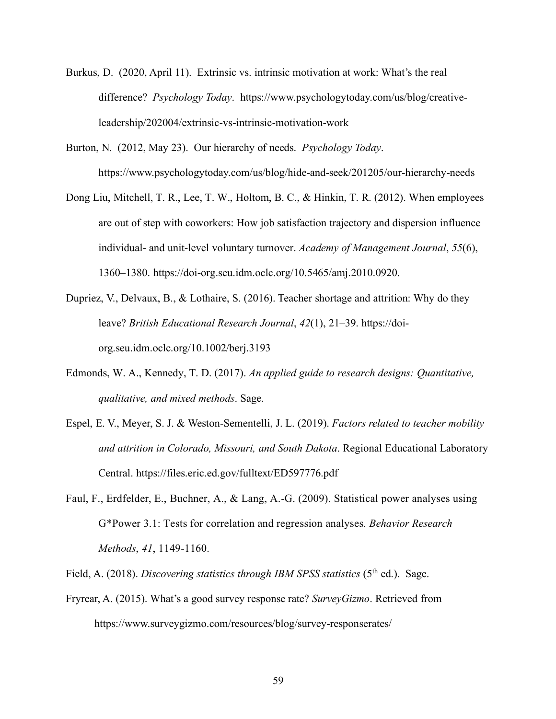- Burkus, D. (2020, April 11). Extrinsic vs. intrinsic motivation at work: What's the real difference? *Psychology Today*. https://www.psychologytoday.com/us/blog/creativeleadership/202004/extrinsic-vs-intrinsic-motivation-work
- Burton, N. (2012, May 23). Our hierarchy of needs. *Psychology Today*. https://www.psychologytoday.com/us/blog/hide-and-seek/201205/our-hierarchy-needs
- Dong Liu, Mitchell, T. R., Lee, T. W., Holtom, B. C., & Hinkin, T. R. (2012). When employees are out of step with coworkers: How job satisfaction trajectory and dispersion influence individual- and unit-level voluntary turnover. *Academy of Management Journal*, *55*(6), 1360–1380. https://doi-org.seu.idm.oclc.org/10.5465/amj.2010.0920.
- Dupriez, V., Delvaux, B., & Lothaire, S. (2016). Teacher shortage and attrition: Why do they leave? *British Educational Research Journal*, *42*(1), 21–39. https://doiorg.seu.idm.oclc.org/10.1002/berj.3193
- Edmonds, W. A., Kennedy, T. D. (2017). *An applied guide to research designs: Quantitative, qualitative, and mixed methods*. Sage.
- Espel, E. V., Meyer, S. J. & Weston-Sementelli, J. L. (2019). *Factors related to teacher mobility and attrition in Colorado, Missouri, and South Dakota*. Regional Educational Laboratory Central. https://files.eric.ed.gov/fulltext/ED597776.pdf
- Faul, F., Erdfelder, E., Buchner, A., & Lang, A.-G. (2009). Statistical power analyses using G\*Power 3.1: Tests for correlation and regression analyses. *Behavior Research Methods*, *41*, 1149-1160.

Field, A. (2018). *Discovering statistics through IBM SPSS statistics* (5<sup>th</sup> ed.). Sage.

Fryrear, A. (2015). What's a good survey response rate? *SurveyGizmo*. Retrieved from https://www.surveygizmo.com/resources/blog/survey-responserates/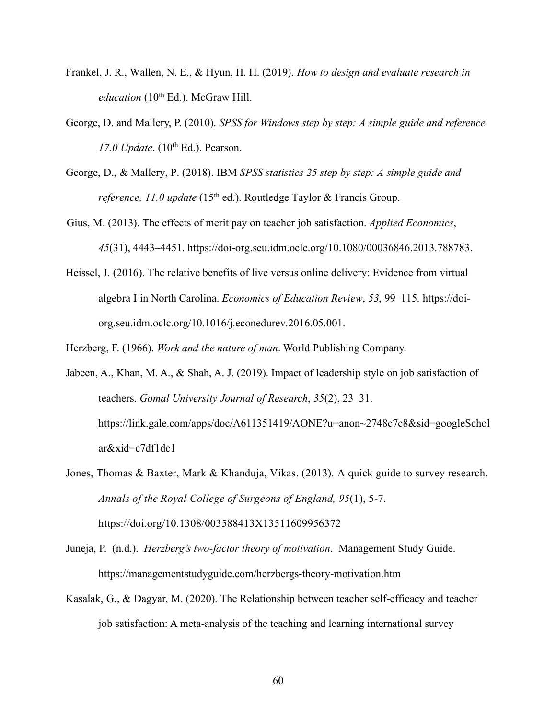- Frankel, J. R., Wallen, N. E., & Hyun, H. H. (2019). *How to design and evaluate research in education* (10<sup>th</sup> Ed.). McGraw Hill.
- George, D. and Mallery, P. (2010). *SPSS for Windows step by step: A simple guide and reference 17.0 Update.* (10<sup>th</sup> Ed.). Pearson.
- George, D., & Mallery, P. (2018). IBM *SPSS statistics 25 step by step: A simple guide and reference, 11.0 update* (15<sup>th</sup> ed.). Routledge Taylor & Francis Group.
- Gius, M. (2013). The effects of merit pay on teacher job satisfaction. *Applied Economics*, *45*(31), 4443–4451. https://doi-org.seu.idm.oclc.org/10.1080/00036846.2013.788783.
- Heissel, J. (2016). The relative benefits of live versus online delivery: Evidence from virtual algebra I in North Carolina. *Economics of Education Review*, *53*, 99–115. https://doiorg.seu.idm.oclc.org/10.1016/j.econedurev.2016.05.001.

Herzberg, F. (1966). *Work and the nature of man*. World Publishing Company.

- Jabeen, A., Khan, M. A., & Shah, A. J. (2019). Impact of leadership style on job satisfaction of teachers. *Gomal University Journal of Research*, *35*(2), 23–31. https://link.gale.com/apps/doc/A611351419/AONE?u=anon~2748c7c8&sid=googleSchol ar&xid=c7df1dc1
- Jones, Thomas & Baxter, Mark & Khanduja, Vikas. (2013). A quick guide to survey research. *Annals of the Royal College of Surgeons of England, 95*(1), 5-7. https://doi.org/10.1308/003588413X13511609956372
- Juneja, P. (n.d.). *Herzberg's two-factor theory of motivation*. Management Study Guide. https://managementstudyguide.com/herzbergs-theory-motivation.htm
- Kasalak, G., & Dagyar, M. (2020). The Relationship between teacher self-efficacy and teacher job satisfaction: A meta-analysis of the teaching and learning international survey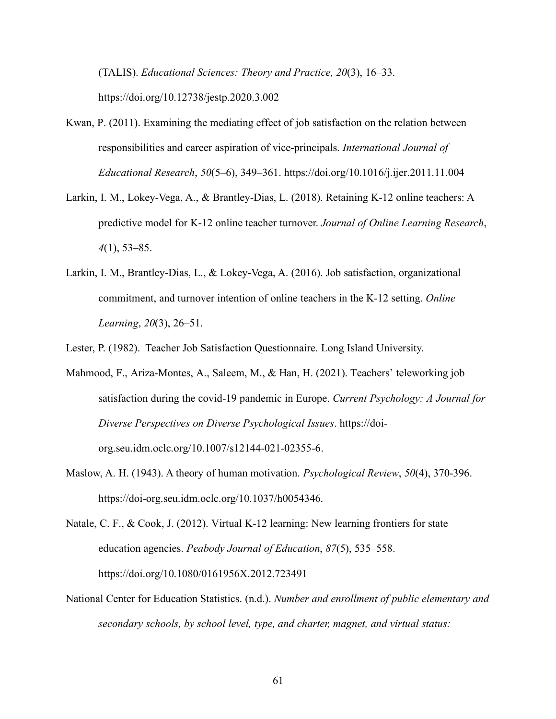(TALIS). *Educational Sciences: Theory and Practice, 20*(3), 16–33. https://doi.org/10.12738/jestp.2020.3.002

- Kwan, P. (2011). Examining the mediating effect of job satisfaction on the relation between responsibilities and career aspiration of vice-principals. *International Journal of Educational Research*, *50*(5–6), 349–361. https://doi.org/10.1016/j.ijer.2011.11.004
- Larkin, I. M., Lokey-Vega, A., & Brantley-Dias, L. (2018). Retaining K-12 online teachers: A predictive model for K-12 online teacher turnover. *Journal of Online Learning Research*, *4*(1), 53–85.
- Larkin, I. M., Brantley-Dias, L., & Lokey-Vega, A. (2016). Job satisfaction, organizational commitment, and turnover intention of online teachers in the K-12 setting. *Online Learning*, *20*(3), 26–51.

Lester, P. (1982). Teacher Job Satisfaction Questionnaire. Long Island University.

- Mahmood, F., Ariza-Montes, A., Saleem, M., & Han, H. (2021). Teachers' teleworking job satisfaction during the covid-19 pandemic in Europe. *Current Psychology: A Journal for Diverse Perspectives on Diverse Psychological Issues*. https://doiorg.seu.idm.oclc.org/10.1007/s12144-021-02355-6.
- Maslow, A. H. (1943). A theory of human motivation. *Psychological Review*, *50*(4), 370-396. https://doi-org.seu.idm.oclc.org/10.1037/h0054346.

Natale, C. F., & Cook, J. (2012). Virtual K-12 learning: New learning frontiers for state education agencies. *Peabody Journal of Education*, *87*(5), 535–558. https://doi.org/10.1080/0161956X.2012.723491

National Center for Education Statistics. (n.d.). *Number and enrollment of public elementary and secondary schools, by school level, type, and charter, magnet, and virtual status:*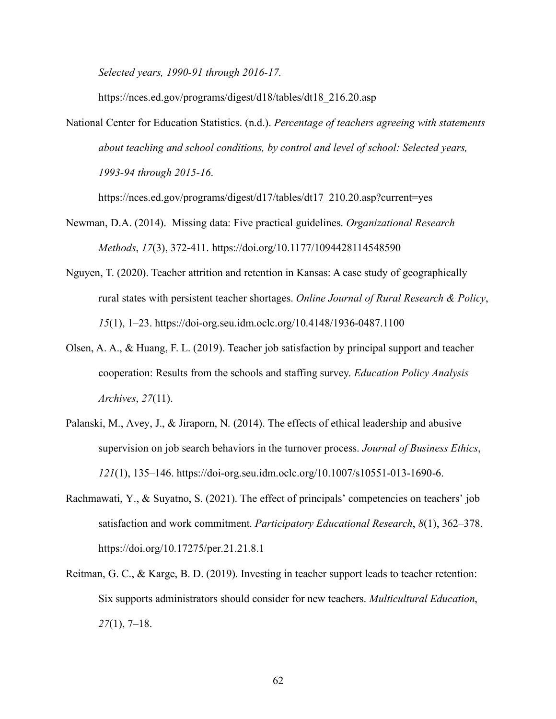*Selected years, 1990-91 through 2016-17.*

https://nces.ed.gov/programs/digest/d18/tables/dt18\_216.20.asp

National Center for Education Statistics. (n.d.). *Percentage of teachers agreeing with statements about teaching and school conditions, by control and level of school: Selected years, 1993-94 through 2015-16*.

https://nces.ed.gov/programs/digest/d17/tables/dt17\_210.20.asp?current=yes

- Newman, D.A. (2014). Missing data: Five practical guidelines. *Organizational Research Methods*, *17*(3), 372-411. https://doi.org/10.1177/1094428114548590
- Nguyen, T. (2020). Teacher attrition and retention in Kansas: A case study of geographically rural states with persistent teacher shortages. *Online Journal of Rural Research & Policy*, *15*(1), 1–23. https://doi-org.seu.idm.oclc.org/10.4148/1936-0487.1100
- Olsen, A. A., & Huang, F. L. (2019). Teacher job satisfaction by principal support and teacher cooperation: Results from the schools and staffing survey. *Education Policy Analysis Archives*, *27*(11).
- Palanski, M., Avey, J., & Jiraporn, N. (2014). The effects of ethical leadership and abusive supervision on job search behaviors in the turnover process. *Journal of Business Ethics*, *121*(1), 135–146. https://doi-org.seu.idm.oclc.org/10.1007/s10551-013-1690-6.
- Rachmawati, Y., & Suyatno, S. (2021). The effect of principals' competencies on teachers' job satisfaction and work commitment. *Participatory Educational Research*, *8*(1), 362–378. https://doi.org/10.17275/per.21.21.8.1
- Reitman, G. C., & Karge, B. D. (2019). Investing in teacher support leads to teacher retention: Six supports administrators should consider for new teachers. *Multicultural Education*, *27*(1), 7–18.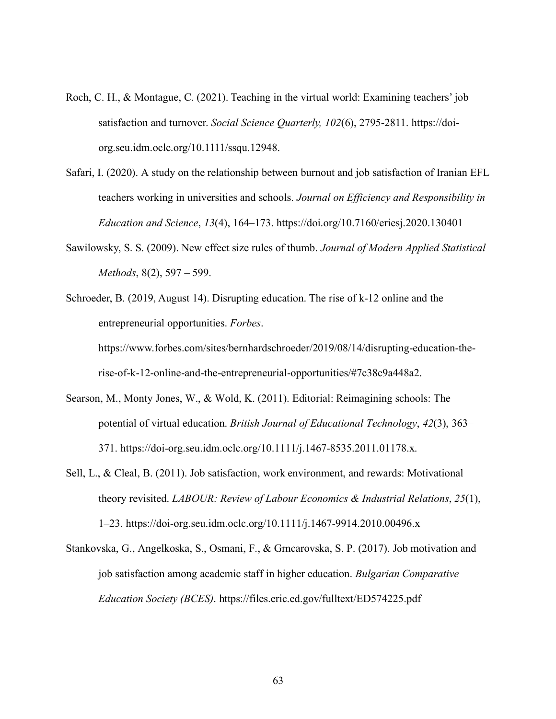- Roch, C. H., & Montague, C. (2021). Teaching in the virtual world: Examining teachers' job satisfaction and turnover. *Social Science Quarterly, 102*(6), 2795-2811. https://doiorg.seu.idm.oclc.org/10.1111/ssqu.12948.
- Safari, I. (2020). A study on the relationship between burnout and job satisfaction of Iranian EFL teachers working in universities and schools. *Journal on Efficiency and Responsibility in Education and Science*, *13*(4), 164–173. https://doi.org/10.7160/eriesj.2020.130401
- Sawilowsky, S. S. (2009). New effect size rules of thumb. *Journal of Modern Applied Statistical Methods*, 8(2), 597 – 599.
- Schroeder, B. (2019, August 14). Disrupting education. The rise of k-12 online and the entrepreneurial opportunities. *Forbes*. https://www.forbes.com/sites/bernhardschroeder/2019/08/14/disrupting-education-the-

rise-of-k-12-online-and-the-entrepreneurial-opportunities/#7c38c9a448a2.

- Searson, M., Monty Jones, W., & Wold, K. (2011). Editorial: Reimagining schools: The potential of virtual education. *British Journal of Educational Technology*, *42*(3), 363– 371. https://doi-org.seu.idm.oclc.org/10.1111/j.1467-8535.2011.01178.x.
- Sell, L., & Cleal, B. (2011). Job satisfaction, work environment, and rewards: Motivational theory revisited. *LABOUR: Review of Labour Economics & Industrial Relations*, *25*(1), 1–23. https://doi-org.seu.idm.oclc.org/10.1111/j.1467-9914.2010.00496.x
- Stankovska, G., Angelkoska, S., Osmani, F., & Grncarovska, S. P. (2017). Job motivation and job satisfaction among academic staff in higher education. *Bulgarian Comparative Education Society (BCES)*. https://files.eric.ed.gov/fulltext/ED574225.pdf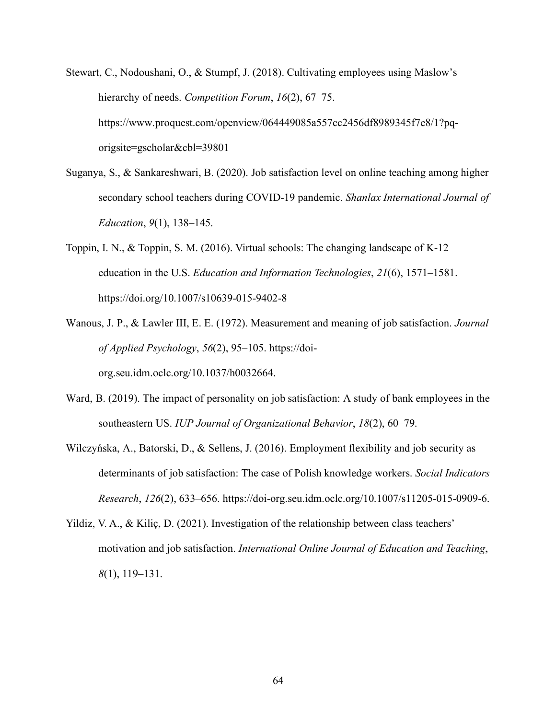- Stewart, C., Nodoushani, O., & Stumpf, J. (2018). Cultivating employees using Maslow's hierarchy of needs. *Competition Forum*, *16*(2), 67–75. https://www.proquest.com/openview/064449085a557cc2456df8989345f7e8/1?pqorigsite=gscholar&cbl=39801
- Suganya, S., & Sankareshwari, B. (2020). Job satisfaction level on online teaching among higher secondary school teachers during COVID-19 pandemic. *Shanlax International Journal of Education*, *9*(1), 138–145.
- Toppin, I. N., & Toppin, S. M. (2016). Virtual schools: The changing landscape of K-12 education in the U.S. *Education and Information Technologies*, *21*(6), 1571–1581. https://doi.org/10.1007/s10639-015-9402-8
- Wanous, J. P., & Lawler III, E. E. (1972). Measurement and meaning of job satisfaction. *Journal of Applied Psychology*, *56*(2), 95–105. https://doiorg.seu.idm.oclc.org/10.1037/h0032664.

Ward, B. (2019). The impact of personality on job satisfaction: A study of bank employees in the

- southeastern US. *IUP Journal of Organizational Behavior*, *18*(2), 60–79.
- Wilczyńska, A., Batorski, D., & Sellens, J. (2016). Employment flexibility and job security as determinants of job satisfaction: The case of Polish knowledge workers. *Social Indicators Research*, *126*(2), 633–656. https://doi-org.seu.idm.oclc.org/10.1007/s11205-015-0909-6.
- Yildiz, V. A., & Kiliç, D. (2021). Investigation of the relationship between class teachers' motivation and job satisfaction. *International Online Journal of Education and Teaching*, *8*(1), 119–131.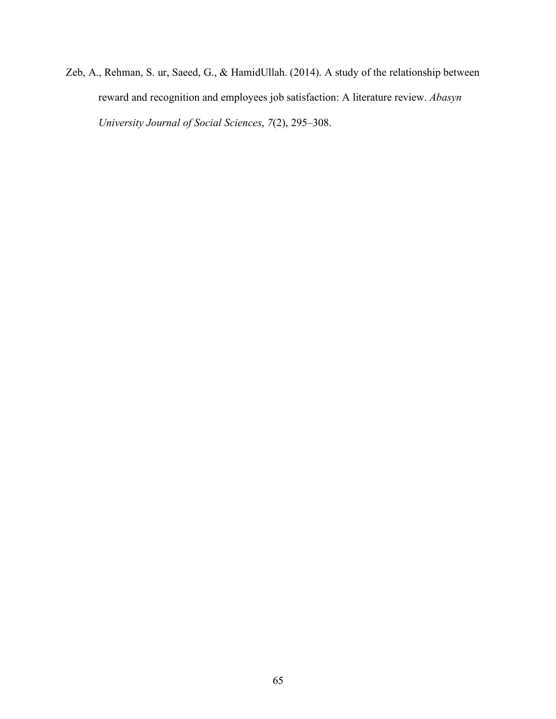Zeb, A., Rehman, S. ur, Saeed, G., & HamidUllah. (2014). A study of the relationship between reward and recognition and employees job satisfaction: A literature review. *Abasyn University Journal of Social Sciences*, *7*(2), 295–308.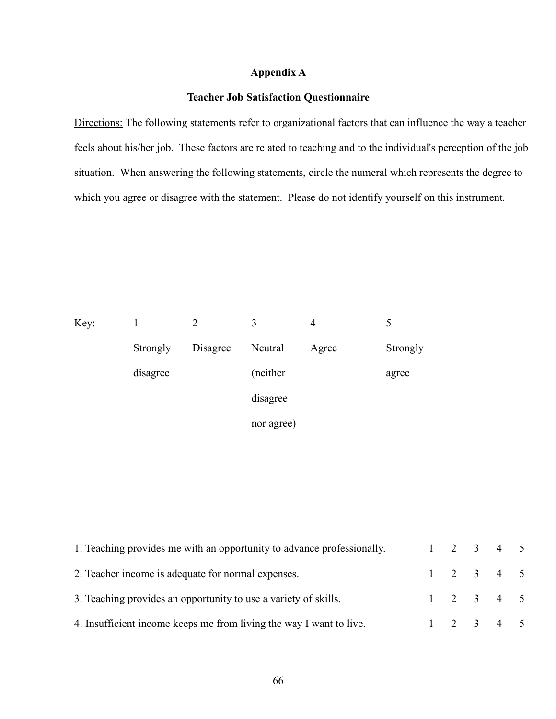## **Appendix A**

## **Teacher Job Satisfaction Questionnaire**

Directions: The following statements refer to organizational factors that can influence the way a teacher feels about his/her job. These factors are related to teaching and to the individual's perception of the job situation. When answering the following statements, circle the numeral which represents the degree to which you agree or disagree with the statement. Please do not identify yourself on this instrument.

| Key: |          | 2        | 3          | $\overline{4}$ |          |
|------|----------|----------|------------|----------------|----------|
|      | Strongly | Disagree | Neutral    | Agree          | Strongly |
|      | disagree |          | (neither)  |                | agree    |
|      |          |          | disagree   |                |          |
|      |          |          | nor agree) |                |          |

| 1. Teaching provides me with an opportunity to advance professionally. |  | $1 \t2 \t3 \t4 \t5$ |  |
|------------------------------------------------------------------------|--|---------------------|--|
| 2. Teacher income is adequate for normal expenses.                     |  | $1 \t2 \t3 \t4 \t5$ |  |
| 3. Teaching provides an opportunity to use a variety of skills.        |  | $1 \t2 \t3 \t4 \t5$ |  |
| 4. Insufficient income keeps me from living the way I want to live.    |  | $1 \t2 \t3 \t4 \t5$ |  |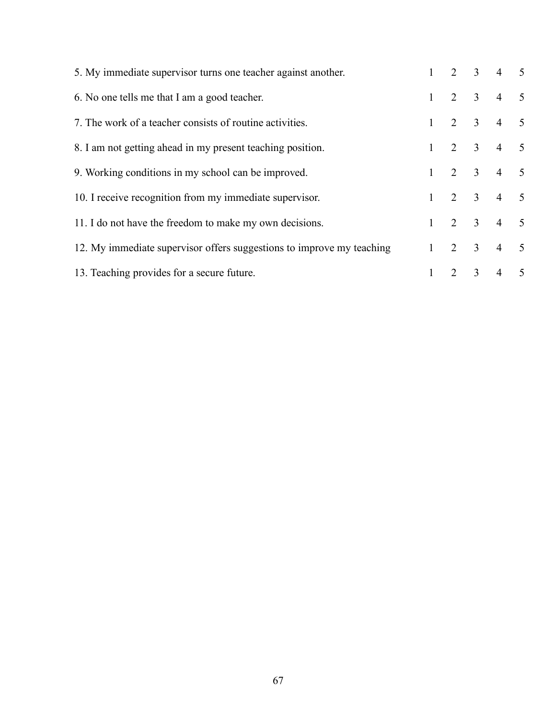| 5. My immediate supervisor turns one teacher against another.         |              |                     |                         | 2 3 4 5                     |                 |
|-----------------------------------------------------------------------|--------------|---------------------|-------------------------|-----------------------------|-----------------|
| 6. No one tells me that I am a good teacher.                          | $\mathbf{1}$ | 2 3                 |                         | $\overline{4}$              | $\overline{5}$  |
| 7. The work of a teacher consists of routine activities.              | $\mathbf{1}$ | $2 \quad 3 \quad 4$ |                         |                             | $\overline{5}$  |
| 8. I am not getting ahead in my present teaching position.            | $\mathbf{1}$ |                     |                         | $2 \quad 3 \quad 4 \quad 5$ |                 |
| 9. Working conditions in my school can be improved.                   | $\mathbf{1}$ |                     |                         | 2 3 4 5                     |                 |
| 10. I receive recognition from my immediate supervisor.               | $\mathbf{1}$ |                     |                         | 2 3 4 5                     |                 |
| 11. I do not have the freedom to make my own decisions.               | $\mathbf{1}$ |                     |                         | $2 \t 3 \t 4 \t 5$          |                 |
| 12. My immediate supervisor offers suggestions to improve my teaching |              | $1 \t2 \t3 \t4$     |                         |                             | $\overline{5}$  |
| 13. Teaching provides for a secure future.                            |              | 2                   | $\overline{\mathbf{3}}$ | $\overline{4}$              | $5\overline{)}$ |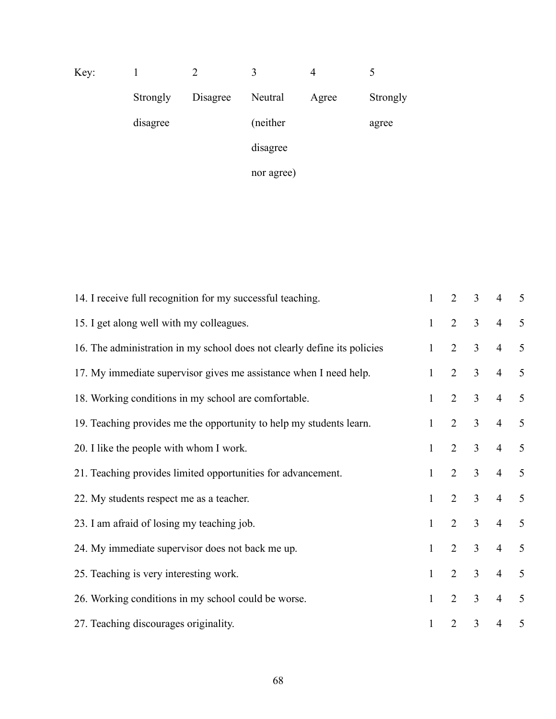| Key: |          |          | 3          | 4     |          |
|------|----------|----------|------------|-------|----------|
|      | Strongly | Disagree | Neutral    | Agree | Strongly |
|      | disagree |          | (neither)  |       | agree    |
|      |          |          | disagree   |       |          |
|      |          |          | nor agree) |       |          |

| 14. I receive full recognition for my successful teaching.               | $\mathbf{1}$ | 2              | $\overline{3}$ | $\overline{4}$ | 5 |
|--------------------------------------------------------------------------|--------------|----------------|----------------|----------------|---|
| 15. I get along well with my colleagues.                                 | $\mathbf{1}$ | $\overline{2}$ | $\overline{3}$ | $\overline{4}$ | 5 |
| 16. The administration in my school does not clearly define its policies | $\mathbf{1}$ | $\overline{2}$ | $\overline{3}$ | $\overline{4}$ | 5 |
| 17. My immediate supervisor gives me assistance when I need help.        | $\mathbf{1}$ | $\overline{2}$ | $\overline{3}$ | $\overline{4}$ | 5 |
| 18. Working conditions in my school are comfortable.                     | $\mathbf{1}$ | $\overline{2}$ | $\overline{3}$ | $\overline{4}$ | 5 |
| 19. Teaching provides me the opportunity to help my students learn.      | $\mathbf{1}$ | 2              | $\overline{3}$ | $\overline{4}$ | 5 |
| 20. I like the people with whom I work.                                  | $\mathbf{1}$ | $\overline{2}$ | $\overline{3}$ | $\overline{4}$ | 5 |
| 21. Teaching provides limited opportunities for advancement.             | $\mathbf{1}$ | $\overline{2}$ | $\overline{3}$ | $\overline{4}$ | 5 |
| 22. My students respect me as a teacher.                                 | 1            | 2              | $\overline{3}$ | $\overline{4}$ | 5 |
| 23. I am afraid of losing my teaching job.                               | $\mathbf{1}$ | $\overline{2}$ | $\overline{3}$ | $\overline{4}$ | 5 |
| 24. My immediate supervisor does not back me up.                         | $\mathbf{1}$ | $\overline{2}$ | $\overline{3}$ | $\overline{4}$ | 5 |
| 25. Teaching is very interesting work.                                   | $\mathbf{1}$ | $\overline{2}$ | $\overline{3}$ | $\overline{4}$ | 5 |
| 26. Working conditions in my school could be worse.                      | $\mathbf{1}$ | 2              | $\overline{3}$ | $\overline{4}$ | 5 |
| 27. Teaching discourages originality.                                    | 1            | $\overline{2}$ | $\overline{3}$ | $\overline{4}$ | 5 |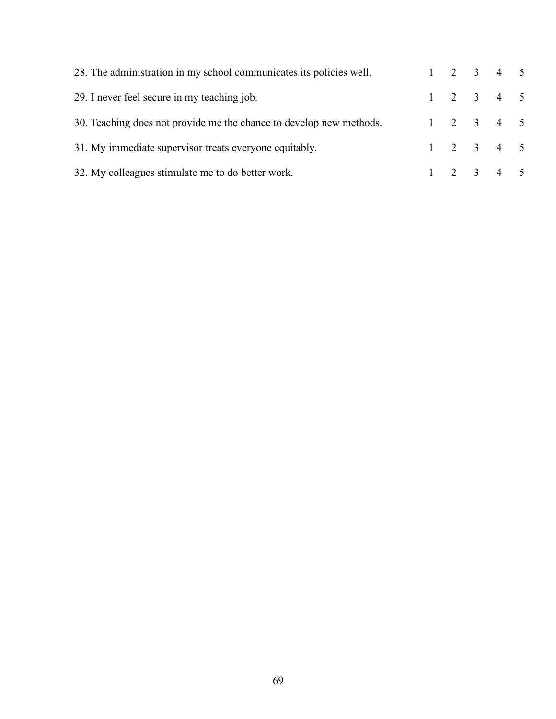| 28. The administration in my school communicates its policies well. |  | $1 \t2 \t3 \t4 \t5$ |  |
|---------------------------------------------------------------------|--|---------------------|--|
| 29. I never feel secure in my teaching job.                         |  | $1 \t2 \t3 \t4 \t5$ |  |
| 30. Teaching does not provide me the chance to develop new methods. |  | $1 \t2 \t3 \t4 \t5$ |  |
| 31. My immediate supervisor treats everyone equitably.              |  | $1 \t2 \t3 \t4 \t5$ |  |
| 32. My colleagues stimulate me to do better work.                   |  | $1 \t2 \t3 \t4 \t5$ |  |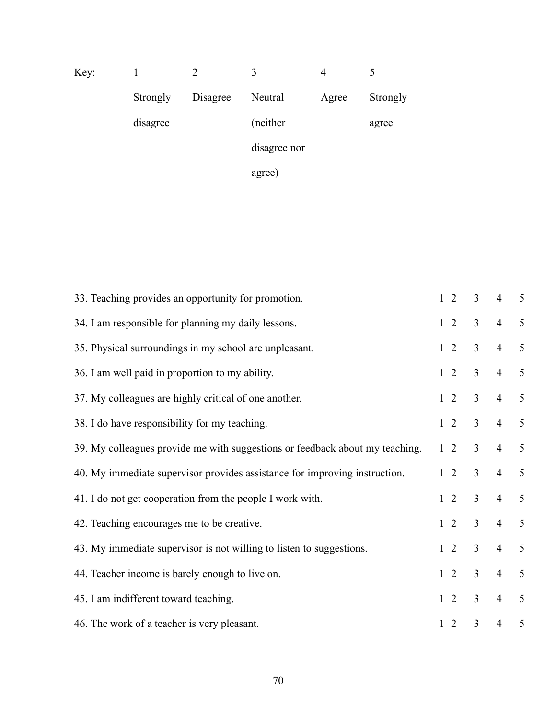| Key: |          |          | 3            | 4     |          |
|------|----------|----------|--------------|-------|----------|
|      | Strongly | Disagree | Neutral      | Agree | Strongly |
|      | disagree |          | (neither     |       | agree    |
|      |          |          | disagree nor |       |          |
|      |          |          | agree)       |       |          |

| 33. Teaching provides an opportunity for promotion.                          | $1\quad2$  | $\overline{3}$ | $\overline{4}$ | 5 |
|------------------------------------------------------------------------------|------------|----------------|----------------|---|
| 34. I am responsible for planning my daily lessons.                          | $1\quad 2$ | $\overline{3}$ | $\overline{4}$ | 5 |
| 35. Physical surroundings in my school are unpleasant.                       | $1\quad2$  | $\overline{3}$ | $\overline{4}$ | 5 |
| 36. I am well paid in proportion to my ability.                              | $1\quad2$  | $\overline{3}$ | $\overline{4}$ | 5 |
| 37. My colleagues are highly critical of one another.                        | $1\quad2$  | $\overline{3}$ | $\overline{4}$ | 5 |
| 38. I do have responsibility for my teaching.                                | $1\,2$     | $\mathfrak{Z}$ | $\overline{4}$ | 5 |
| 39. My colleagues provide me with suggestions or feedback about my teaching. | $1\quad2$  | $\overline{3}$ | $\overline{4}$ | 5 |
| 40. My immediate supervisor provides assistance for improving instruction.   | $1\quad2$  | $\overline{3}$ | $\overline{4}$ | 5 |
| 41. I do not get cooperation from the people I work with.                    | $1\quad2$  | $\overline{3}$ | $\overline{4}$ | 5 |
| 42. Teaching encourages me to be creative.                                   | $1\quad2$  | $\overline{3}$ | $\overline{4}$ | 5 |
| 43. My immediate supervisor is not willing to listen to suggestions.         | $1\quad2$  | $\overline{3}$ | $\overline{4}$ | 5 |
| 44. Teacher income is barely enough to live on.                              | $1\quad2$  | $\overline{3}$ | $\overline{4}$ | 5 |
| 45. I am indifferent toward teaching.                                        | $1\quad 2$ | $\overline{3}$ | $\overline{4}$ | 5 |
| 46. The work of a teacher is very pleasant.                                  | $1\quad2$  | $\overline{3}$ | $\overline{4}$ | 5 |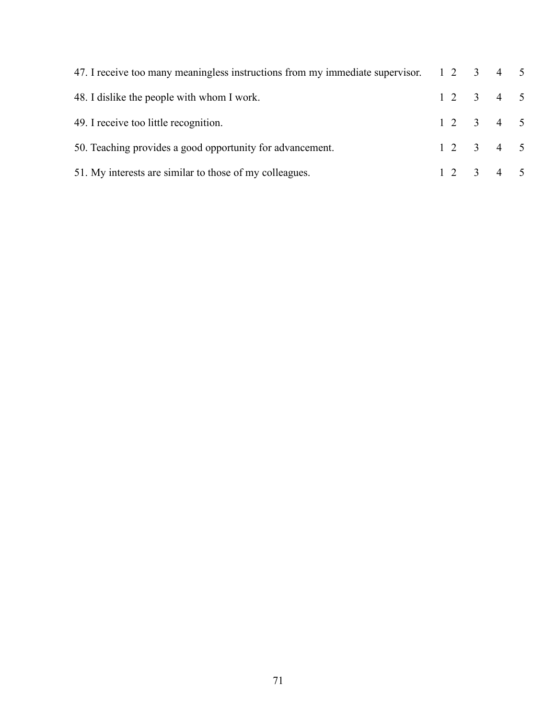| 47. I receive too many meaningless instructions from my immediate supervisor. 1 2 3 4 5 |  |       |  |
|-----------------------------------------------------------------------------------------|--|-------|--|
| 48. I dislike the people with whom I work.                                              |  | 12345 |  |
| 49. I receive too little recognition.                                                   |  | 12345 |  |
| 50. Teaching provides a good opportunity for advancement.                               |  | 12345 |  |
| 51. My interests are similar to those of my colleagues.                                 |  | 12345 |  |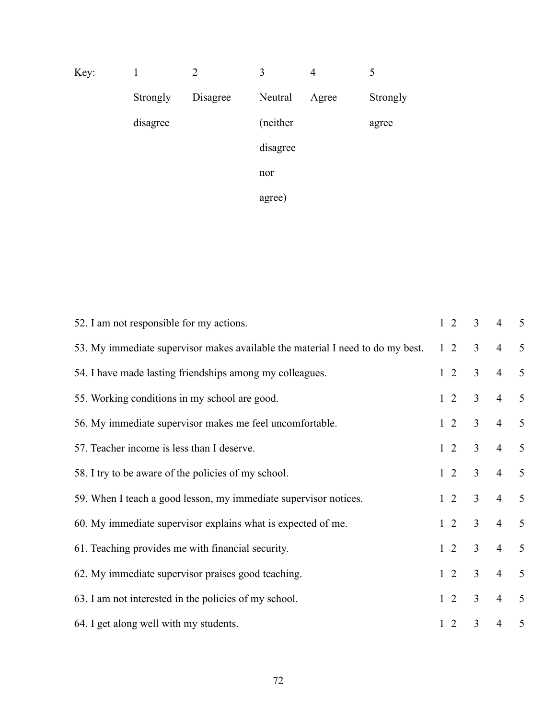| Key: |          | $\overline{2}$ | 3         | $\overline{4}$ | 5        |
|------|----------|----------------|-----------|----------------|----------|
|      | Strongly | Disagree       | Neutral   | Agree          | Strongly |
|      | disagree |                | (neither) |                | agree    |
|      |          |                | disagree  |                |          |
|      |          |                | nor       |                |          |
|      |          |                | agree)    |                |          |

| 52. I am not responsible for my actions.                                       | $1\quad2$  | 3              | $\overline{4}$ | 5              |
|--------------------------------------------------------------------------------|------------|----------------|----------------|----------------|
| 53. My immediate supervisor makes available the material I need to do my best. | $1\quad2$  | $\mathfrak{Z}$ | $\overline{4}$ | 5              |
| 54. I have made lasting friendships among my colleagues.                       | $1\quad2$  | $\overline{3}$ | $\overline{4}$ | 5              |
| 55. Working conditions in my school are good.                                  | $1\quad 2$ | $\overline{3}$ | $\overline{4}$ | 5              |
| 56. My immediate supervisor makes me feel uncomfortable.                       | $1\quad2$  | $\overline{3}$ | $\overline{4}$ | 5              |
| 57. Teacher income is less than I deserve.                                     | $1\quad 2$ | $\overline{3}$ | $\overline{4}$ | 5              |
| 58. I try to be aware of the policies of my school.                            | $1\quad2$  | $\overline{3}$ | $\overline{4}$ | 5              |
| 59. When I teach a good lesson, my immediate supervisor notices.               | $1\quad 2$ | $\overline{3}$ | $\overline{4}$ | 5              |
| 60. My immediate supervisor explains what is expected of me.                   | $1\quad 2$ | $\overline{3}$ | $\overline{4}$ | $\mathfrak{S}$ |
| 61. Teaching provides me with financial security.                              | $1\quad2$  | $\overline{3}$ | $\overline{4}$ | 5              |
| 62. My immediate supervisor praises good teaching.                             | $1\quad 2$ | $\overline{3}$ | $\overline{4}$ | $\mathfrak{S}$ |
| 63. I am not interested in the policies of my school.                          | $1\quad2$  | $\mathfrak{Z}$ | $\overline{4}$ | $\mathfrak{S}$ |
| 64. I get along well with my students.                                         | $1\quad2$  | $\overline{3}$ | $\overline{4}$ | 5              |